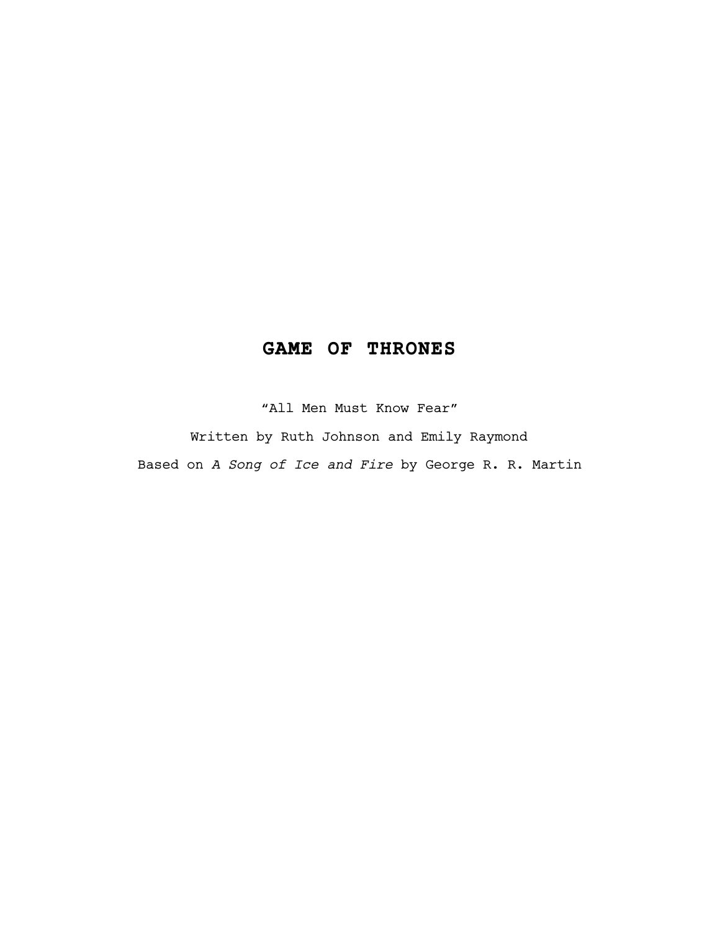# **GAME OF THRONES**

"All Men Must Know Fear"

Written by Ruth Johnson and Emily Raymond Based on *A Song of Ice and Fire* by George R. R. Martin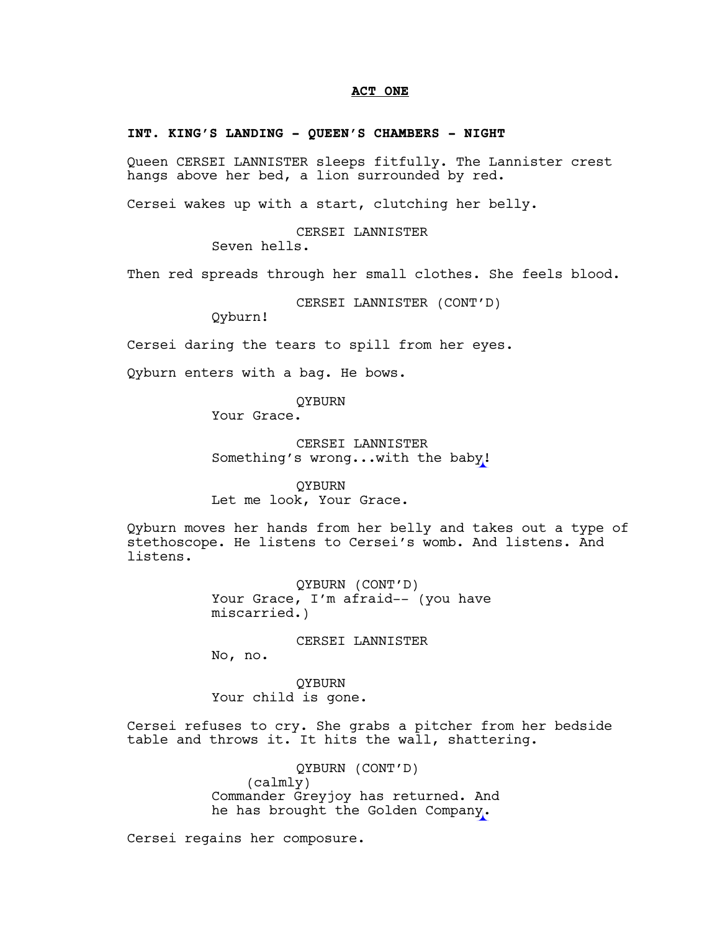### **ACT ONE**

### **INT. KING'S LANDING - QUEEN'S CHAMBERS - NIGHT**

Queen CERSEI LANNISTER sleeps fitfully. The Lannister crest hangs above her bed, a lion surrounded by red.

Cersei wakes up with a start, clutching her belly.

CERSEI LANNISTER Seven hells.

Then red spreads through her small clothes. She feels blood.

CERSEI LANNISTER (CONT'D)

Qyburn!

Cersei daring the tears to spill from her eyes.

Qyburn enters with a bag. He bows.

QYBURN

Your Grace.

CERSEI LANNISTER Something's wrong...with the baby!

QYBURN Let me look, Your Grace.

Qyburn moves her hands from her belly and takes out a type of stethoscope. He listens to Cersei's womb. And listens. And listens.

> QYBURN (CONT'D) Your Grace, I'm afraid-- (you have miscarried.)

> > CERSEI LANNISTER

No, no.

QYBURN Your child is gone.

Cersei refuses to cry. She grabs a pitcher from her bedside table and throws it. It hits the wall, shattering.

> QYBURN (CONT'D) (calmly) Commander Greyjoy has returned. And he has brought the Golden Company.

Cersei regains her composure.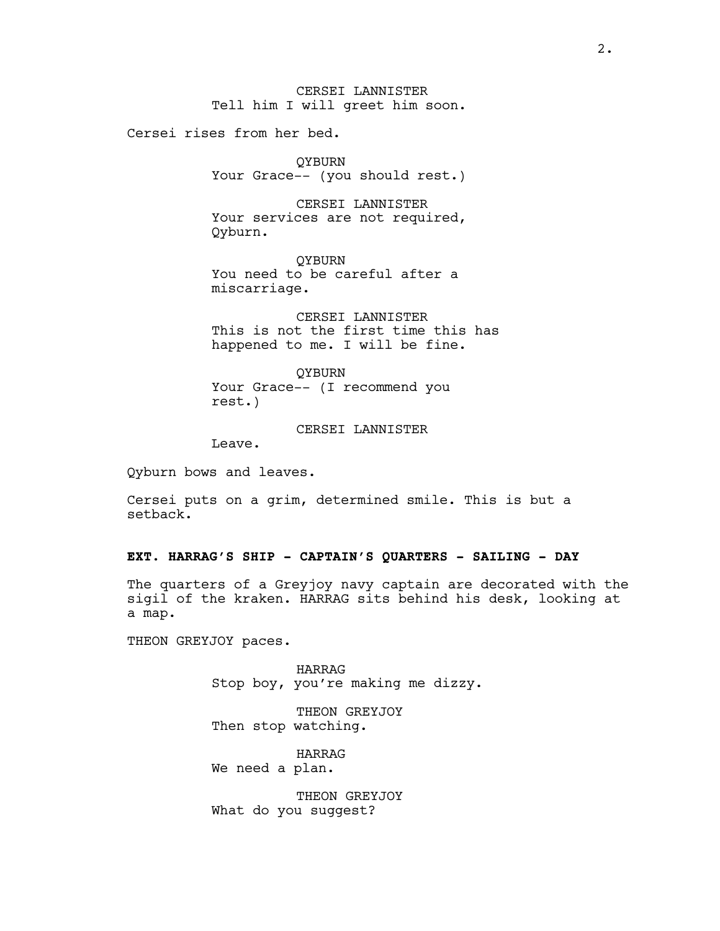Cersei rises from her bed.

QYBURN Your Grace -- (you should rest.)

CERSEI LANNISTER Your services are not required, Qyburn.

**OYBURN** You need to be careful after a miscarriage.

CERSEI LANNISTER This is not the first time this has happened to me. I will be fine.

QYBURN Your Grace-- (I recommend you rest.)

CERSEI LANNISTER

Leave.

Qyburn bows and leaves.

Cersei puts on a grim, determined smile. This is but a setback.

# **EXT. HARRAG'S SHIP - CAPTAIN'S QUARTERS - SAILING – DAY**

The quarters of a Greyjoy navy captain are decorated with the sigil of the kraken. HARRAG sits behind his desk, looking at a map.

THEON GREYJOY paces.

HARRAG Stop boy, you're making me dizzy.

THEON GREYJOY Then stop watching.

HARRAG We need a plan.

THEON GREYJOY What do you suggest?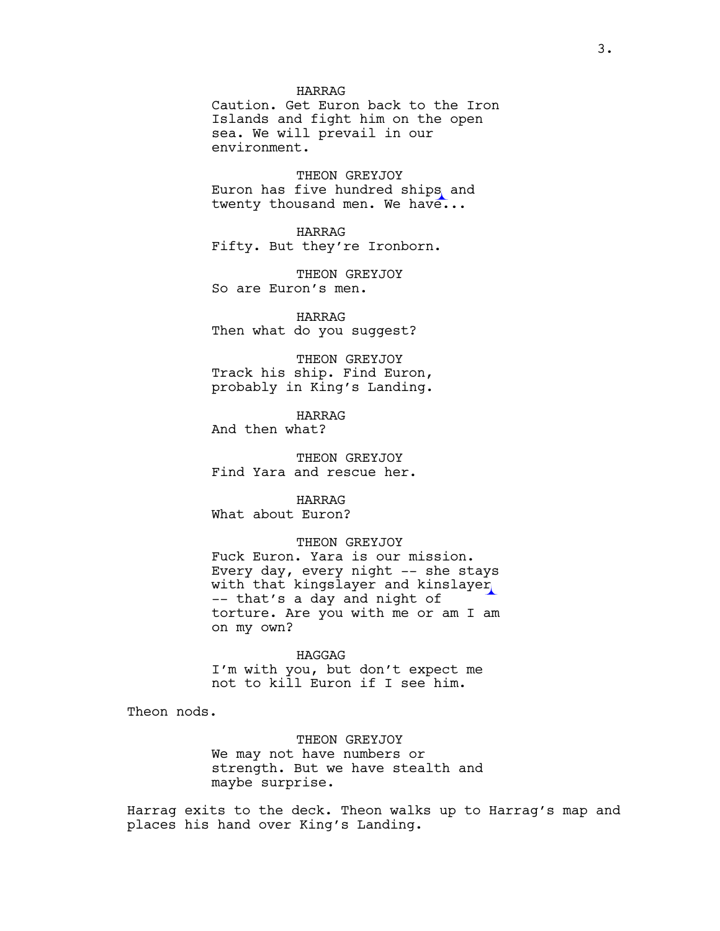HARRAG

Caution. Get Euron back to the Iron Islands and fight him on the open sea. We will prevail in our environment.

THEON GREYJOY Euron has five hundred ships and twenty thousand men. We have...

HARRAG Fifty. But they're Ironborn.

THEON GREYJOY So are Euron's men.

HARRAG Then what do you suggest?

THEON GREYJOY Track his ship. Find Euron, probably in King's Landing.

HARRAG

And then what?

THEON GREYJOY Find Yara and rescue her.

HARRAG

What about Euron?

### THEON GREYJOY

Fuck Euron. Yara is our mission. Every day, every night –– she stays with that kingslayer and kinslayer –– that's a day and night of torture. Are you with me or am I am on my own?

HAGGAG

I'm with you, but don't expect me not to kill Euron if I see him.

Theon nods.

THEON GREYJOY We may not have numbers or strength. But we have stealth and maybe surprise.

Harrag exits to the deck. Theon walks up to Harrag's map and places his hand over King's Landing.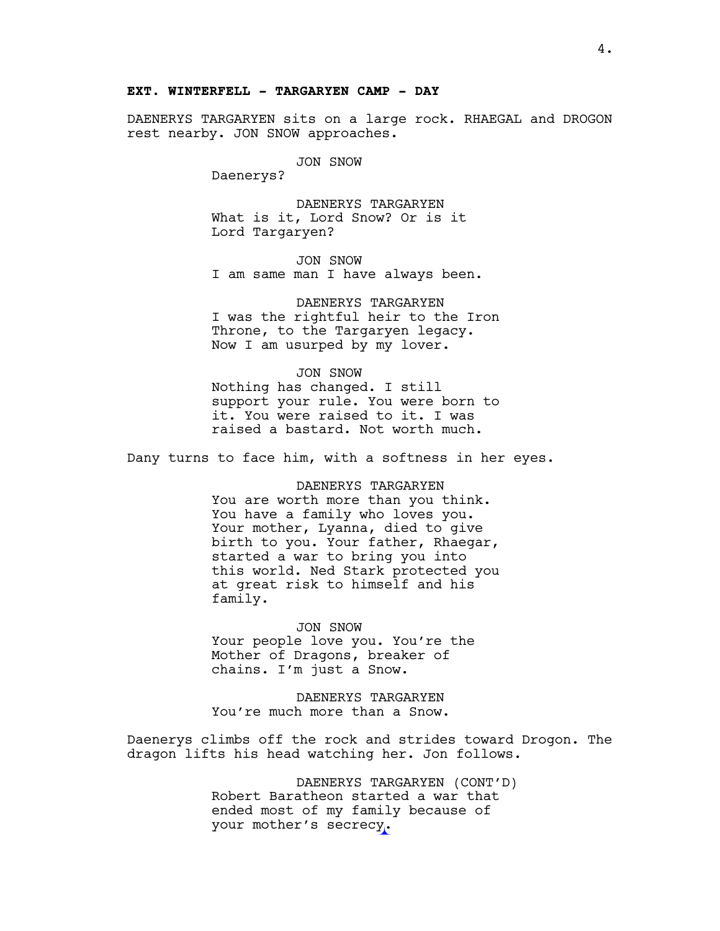# **EXT. WINTERFELL - TARGARYEN CAMP - DAY**

DAENERYS TARGARYEN sits on a large rock. RHAEGAL and DROGON rest nearby. JON SNOW approaches.

JON SNOW

Daenerys?

DAENERYS TARGARYEN What is it, Lord Snow? Or is it Lord Targaryen?

JON SNOW I am same man I have always been.

DAENERYS TARGARYEN I was the rightful heir to the Iron Throne, to the Targaryen legacy. Now I am usurped by my lover.

JON SNOW Nothing has changed. I still support your rule. You were born to it. You were raised to it. I was raised a bastard. Not worth much.

Dany turns to face him, with a softness in her eyes.

DAENERYS TARGARYEN You are worth more than you think. You have a family who loves you. Your mother, Lyanna, died to give birth to you. Your father, Rhaegar, started a war to bring you into this world. Ned Stark protected you at great risk to himself and his family.

JON SNOW Your people love you. You're the Mother of Dragons, breaker of chains. I'm just a Snow.

DAENERYS TARGARYEN You're much more than a Snow.

Daenerys climbs off the rock and strides toward Drogon. The dragon lifts his head watching her. Jon follows.

> DAENERYS TARGARYEN (CONT'D) Robert Baratheon started a war that ended most of my family because of your mother's secrecy.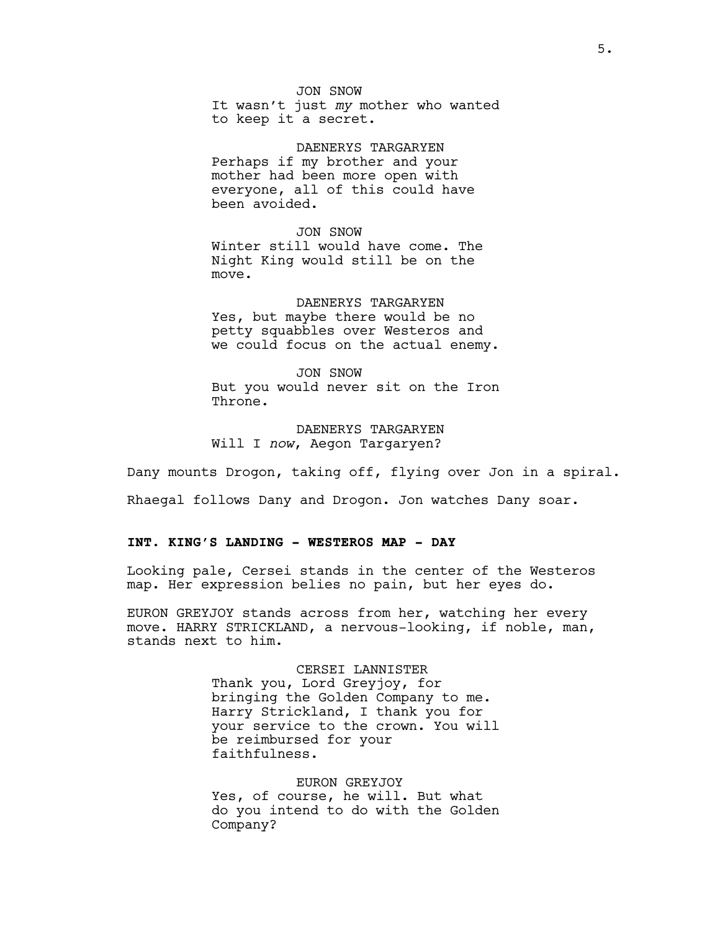JON SNOW It wasn't just *my* mother who wanted to keep it a secret.

DAENERYS TARGARYEN Perhaps if my brother and your mother had been more open with everyone, all of this could have been avoided.

JON SNOW Winter still would have come. The Night King would still be on the move.

DAENERYS TARGARYEN Yes, but maybe there would be no petty squabbles over Westeros and we could focus on the actual enemy.

JON SNOW But you would never sit on the Iron Throne.

DAENERYS TARGARYEN Will I *now*, Aegon Targaryen?

Dany mounts Drogon, taking off, flying over Jon in a spiral.

Rhaegal follows Dany and Drogon. Jon watches Dany soar.

# **INT. KING'S LANDING - WESTEROS MAP - DAY**

Looking pale, Cersei stands in the center of the Westeros map. Her expression belies no pain, but her eyes do.

EURON GREYJOY stands across from her, watching her every move. HARRY STRICKLAND, a nervous-looking, if noble, man, stands next to him.

> CERSEI LANNISTER Thank you, Lord Greyjoy, for bringing the Golden Company to me. Harry Strickland, I thank you for your service to the crown. You will be reimbursed for your faithfulness.

> EURON GREYJOY Yes, of course, he will. But what do you intend to do with the Golden Company?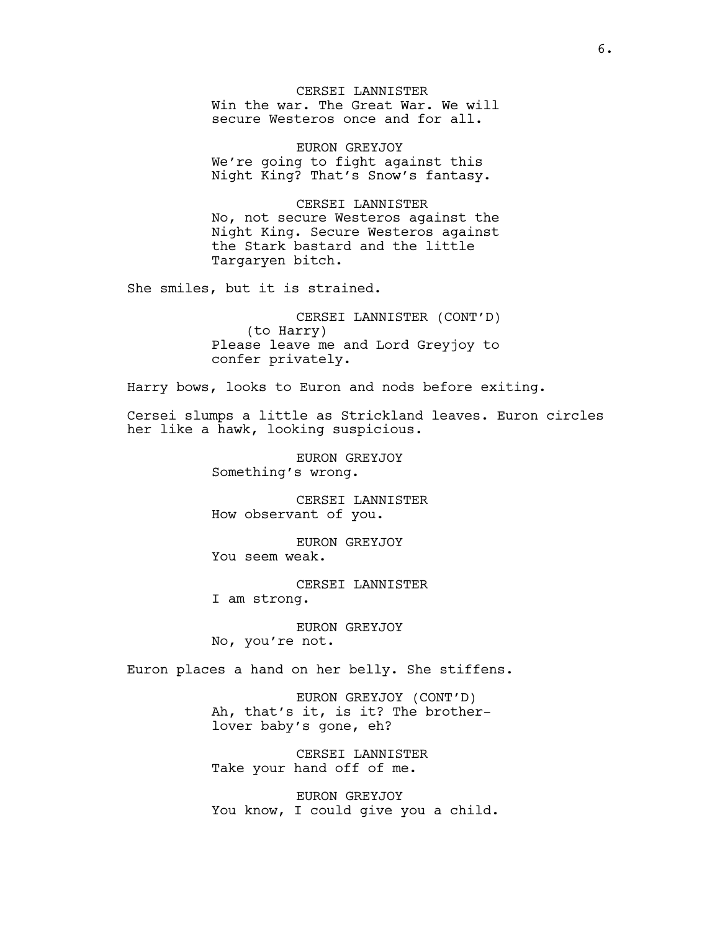CERSEI LANNISTER Win the war. The Great War. We will secure Westeros once and for all.

EURON GREYJOY We're going to fight against this Night King? That's Snow's fantasy.

CERSEI LANNISTER No, not secure Westeros against the Night King. Secure Westeros against the Stark bastard and the little Targaryen bitch.

She smiles, but it is strained.

CERSEI LANNISTER (CONT'D) (to Harry) Please leave me and Lord Greyjoy to confer privately.

Harry bows, looks to Euron and nods before exiting.

Cersei slumps a little as Strickland leaves. Euron circles her like a hawk, looking suspicious.

> EURON GREYJOY Something's wrong.

CERSEI LANNISTER How observant of you.

EURON GREYJOY You seem weak.

CERSEI LANNISTER I am strong.

EURON GREYJOY No, you're not.

Euron places a hand on her belly. She stiffens.

EURON GREYJOY (CONT'D) Ah, that's it, is it? The brotherlover baby's gone, eh?

CERSEI LANNISTER Take your hand off of me.

EURON GREYJOY You know, I could give you a child.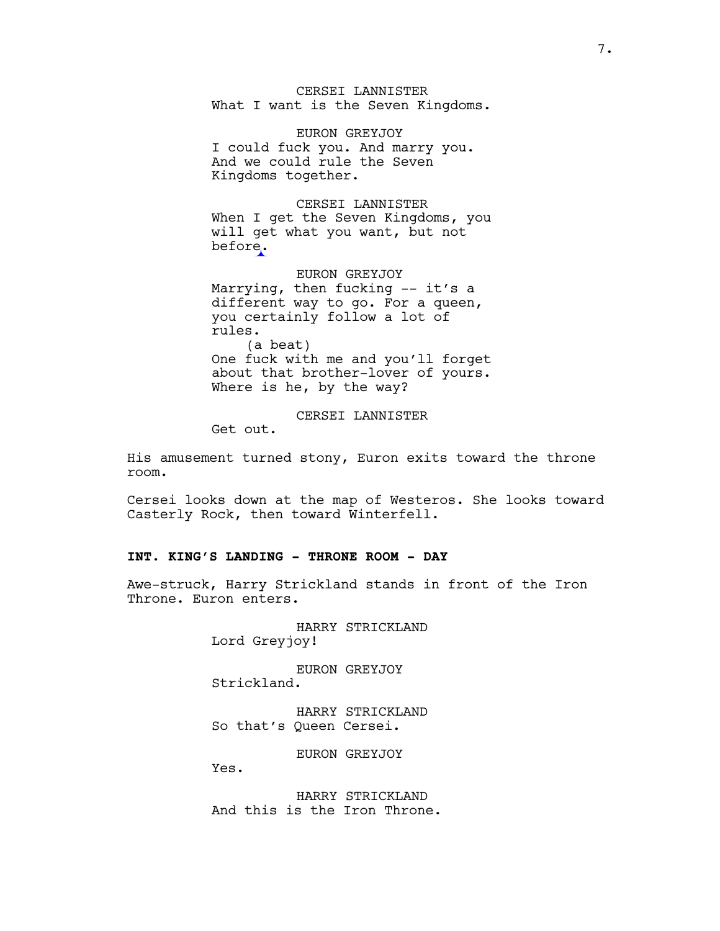CERSEI LANNISTER What I want is the Seven Kingdoms.

EURON GREYJOY I could fuck you. And marry you. And we could rule the Seven Kingdoms together.

CERSEI LANNISTER When I get the Seven Kingdoms, you will get what you want, but not before.

EURON GREYJOY Marrying, then fucking –– it's a different way to go. For a queen, you certainly follow a lot of rules. (a beat) One fuck with me and you'll forget about that brother-lover of yours. Where is he, by the way?

CERSEI LANNISTER

Get out.

His amusement turned stony, Euron exits toward the throne room.

Cersei looks down at the map of Westeros. She looks toward Casterly Rock, then toward Winterfell.

# **INT. KING'S LANDING - THRONE ROOM - DAY**

Awe-struck, Harry Strickland stands in front of the Iron Throne. Euron enters.

> HARRY STRICKLAND Lord Greyjoy!

EURON GREYJOY Strickland.

HARRY STRICKLAND So that's Queen Cersei.

EURON GREYJOY

Yes.

HARRY STRICKLAND And this is the Iron Throne.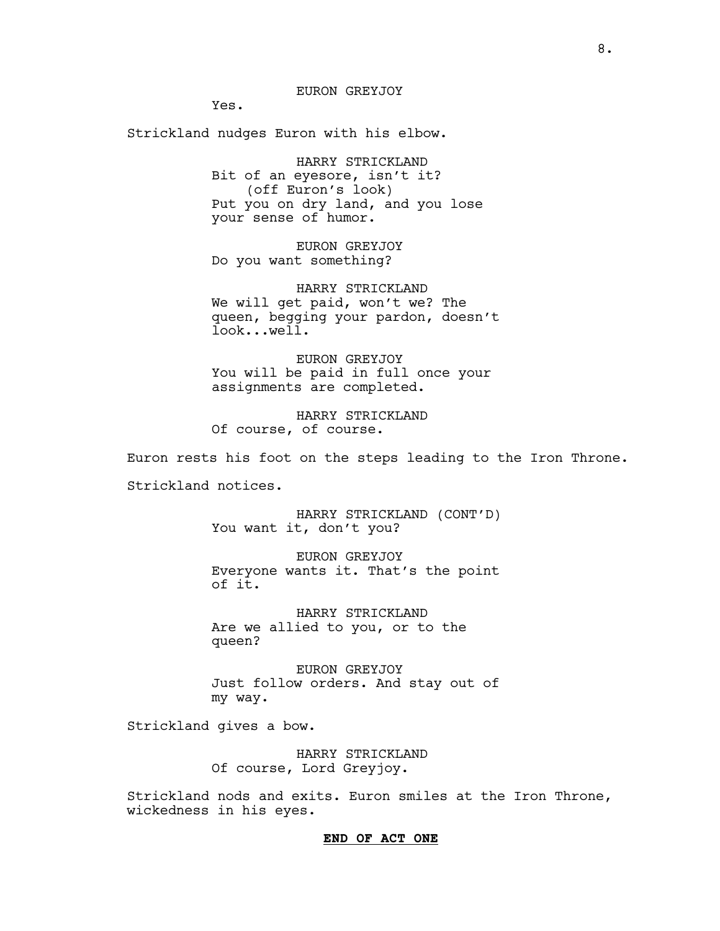Yes.

Strickland nudges Euron with his elbow.

HARRY STRICKLAND Bit of an eyesore, isn't it? (off Euron's look) Put you on dry land, and you lose your sense of humor.

EURON GREYJOY Do you want something?

HARRY STRICKLAND We will get paid, won't we? The queen, begging your pardon, doesn't look...well.

EURON GREYJOY You will be paid in full once your assignments are completed.

HARRY STRICKLAND Of course, of course.

Euron rests his foot on the steps leading to the Iron Throne.

Strickland notices.

HARRY STRICKLAND (CONT'D) You want it, don't you?

EURON GREYJOY Everyone wants it. That's the point of it.

HARRY STRICKLAND Are we allied to you, or to the queen?

EURON GREYJOY Just follow orders. And stay out of my way.

Strickland gives a bow.

HARRY STRICKLAND Of course, Lord Greyjoy.

Strickland nods and exits. Euron smiles at the Iron Throne, wickedness in his eyes.

### **END OF ACT ONE**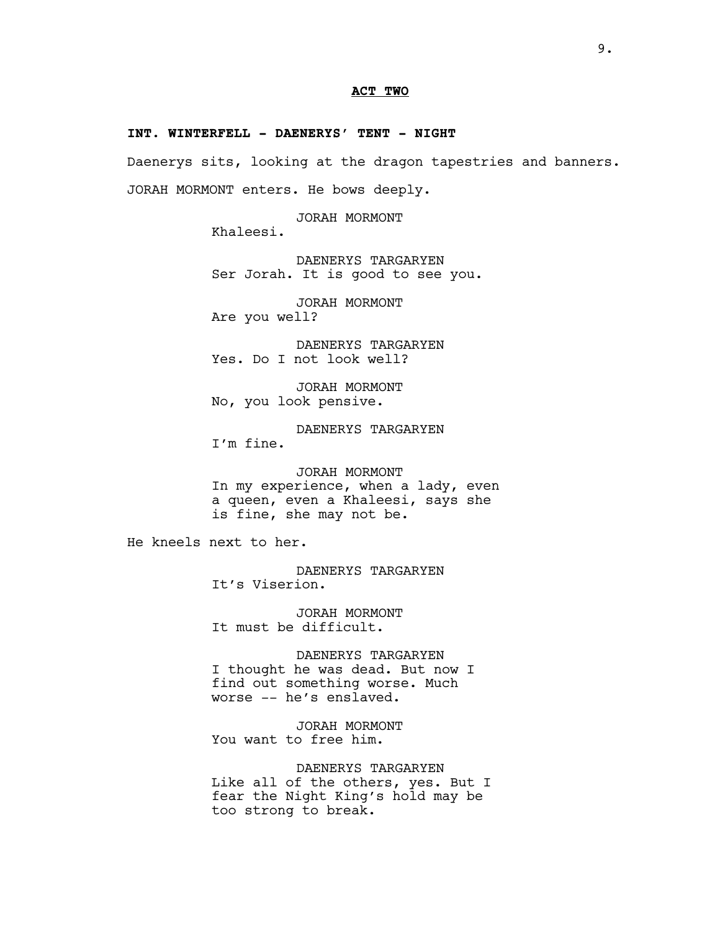# **ACT TWO**

#### **INT. WINTERFELL - DAENERYS' TENT - NIGHT**

Daenerys sits, looking at the dragon tapestries and banners. JORAH MORMONT enters. He bows deeply.

JORAH MORMONT

Khaleesi.

DAENERYS TARGARYEN Ser Jorah. It is good to see you.

JORAH MORMONT

Are you well?

DAENERYS TARGARYEN Yes. Do I not look well?

JORAH MORMONT No, you look pensive.

DAENERYS TARGARYEN I'm fine.

JORAH MORMONT In my experience, when a lady, even a queen, even a Khaleesi, says she is fine, she may not be.

He kneels next to her.

DAENERYS TARGARYEN It's Viserion.

JORAH MORMONT It must be difficult.

DAENERYS TARGARYEN I thought he was dead. But now I find out something worse. Much worse -- he's enslaved.

JORAH MORMONT You want to free him.

DAENERYS TARGARYEN Like all of the others, yes. But I fear the Night King's hold may be too strong to break.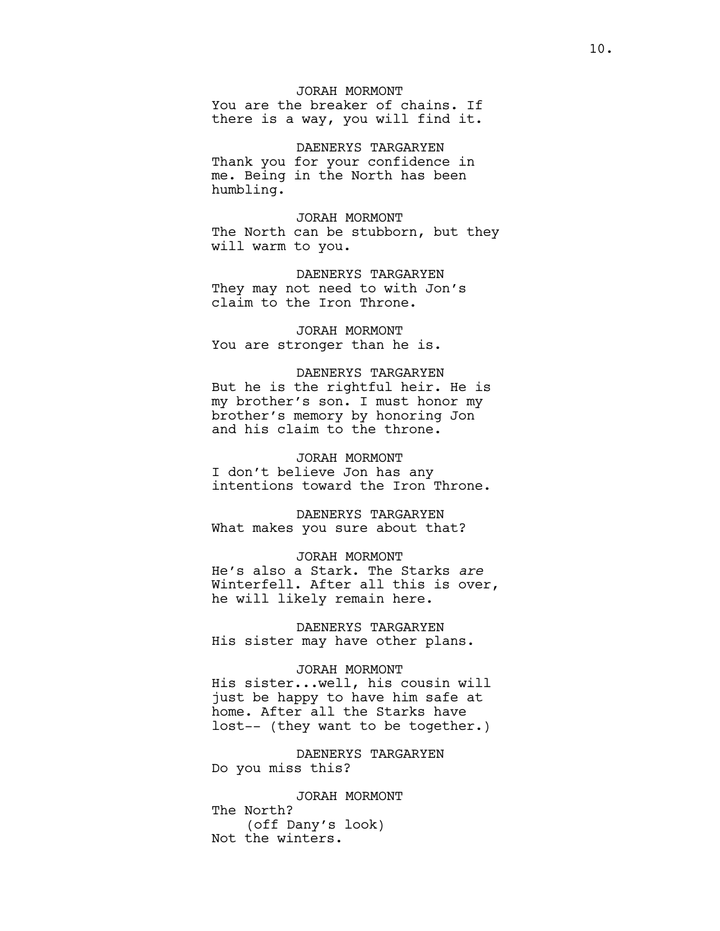JORAH MORMONT You are the breaker of chains. If there is a way, you will find it.

DAENERYS TARGARYEN Thank you for your confidence in me. Being in the North has been humbling.

JORAH MORMONT The North can be stubborn, but they will warm to you.

DAENERYS TARGARYEN They may not need to with Jon's claim to the Iron Throne.

JORAH MORMONT You are stronger than he is.

# DAENERYS TARGARYEN But he is the rightful heir. He is my brother's son. I must honor my brother's memory by honoring Jon and his claim to the throne.

JORAH MORMONT I don't believe Jon has any intentions toward the Iron Throne.

DAENERYS TARGARYEN What makes you sure about that?

JORAH MORMONT He's also a Stark. The Starks *are* Winterfell. After all this is over, he will likely remain here.

DAENERYS TARGARYEN His sister may have other plans.

#### JORAH MORMONT

His sister...well, his cousin will just be happy to have him safe at home. After all the Starks have lost-- (they want to be together.)

DAENERYS TARGARYEN Do you miss this?

JORAH MORMONT The North? (off Dany's look) Not the winters.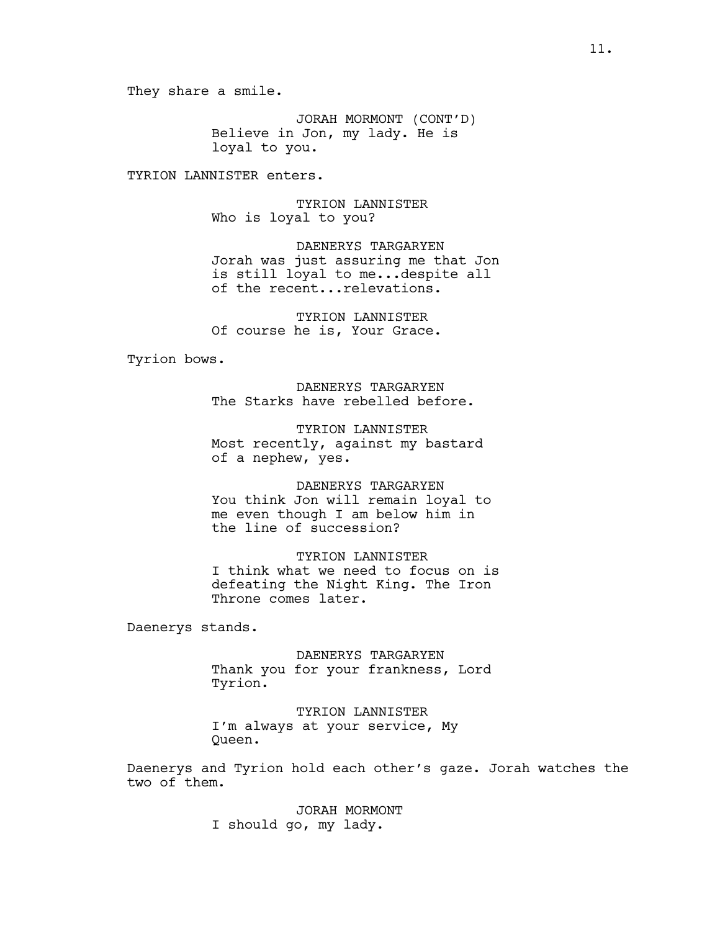They share a smile.

JORAH MORMONT (CONT'D) Believe in Jon, my lady. He is loyal to you.

TYRION LANNISTER enters.

TYRION LANNISTER Who is loyal to you?

DAENERYS TARGARYEN Jorah was just assuring me that Jon is still loyal to me...despite all of the recent...relevations.

TYRION LANNISTER Of course he is, Your Grace.

Tyrion bows.

DAENERYS TARGARYEN The Starks have rebelled before.

TYRION LANNISTER Most recently, against my bastard of a nephew, yes.

DAENERYS TARGARYEN You think Jon will remain loyal to me even though I am below him in the line of succession?

TYRION LANNISTER I think what we need to focus on is defeating the Night King. The Iron Throne comes later.

Daenerys stands.

DAENERYS TARGARYEN Thank you for your frankness, Lord Tyrion.

TYRION LANNISTER I'm always at your service, My Queen.

Daenerys and Tyrion hold each other's gaze. Jorah watches the two of them.

> JORAH MORMONT I should go, my lady.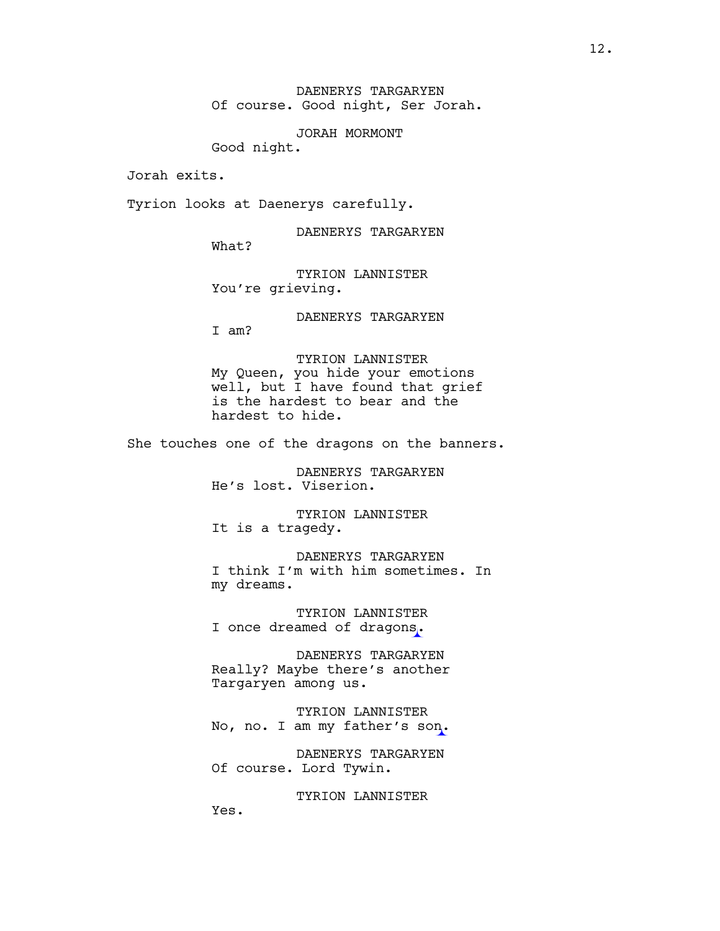DAENERYS TARGARYEN Of course. Good night, Ser Jorah.

JORAH MORMONT

Good night.

Jorah exits.

Tyrion looks at Daenerys carefully.

DAENERYS TARGARYEN

What?

TYRION LANNISTER You're grieving.

DAENERYS TARGARYEN

I am?

TYRION LANNISTER My Queen, you hide your emotions well, but I have found that grief is the hardest to bear and the hardest to hide.

She touches one of the dragons on the banners.

DAENERYS TARGARYEN He's lost. Viserion.

TYRION LANNISTER It is a tragedy.

DAENERYS TARGARYEN I think I'm with him sometimes. In my dreams.

TYRION LANNISTER I once dreamed of dragons.

DAENERYS TARGARYEN Really? Maybe there's another Targaryen among us.

TYRION LANNISTER No, no. I am my father's son.

DAENERYS TARGARYEN Of course. Lord Tywin.

TYRION LANNISTER

Yes.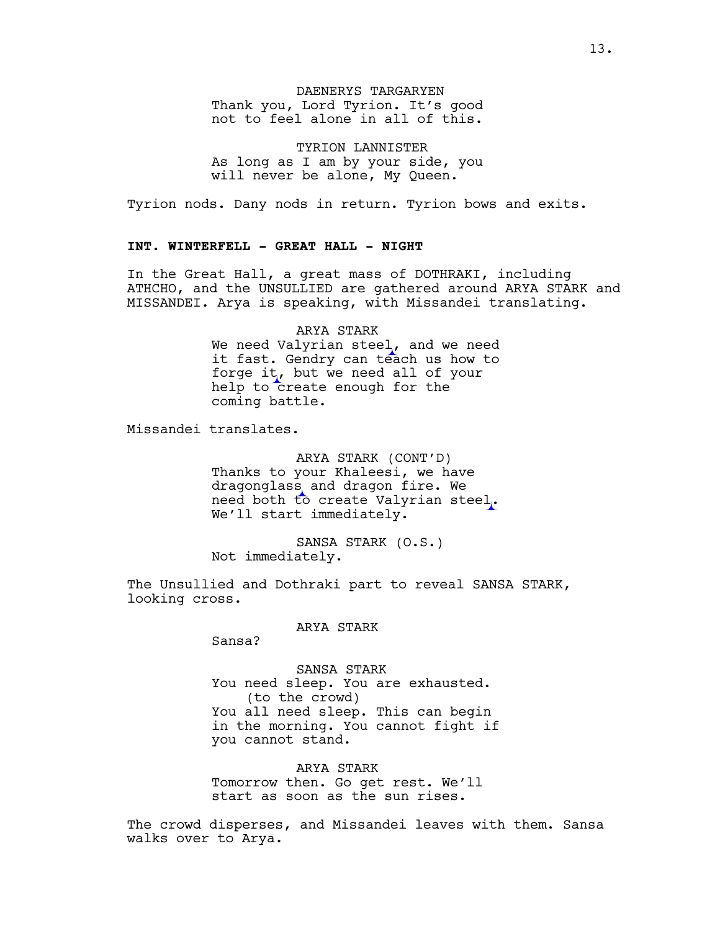# DAENERYS TARGARYEN Thank you, Lord Tyrion. It's good not to feel alone in all of this.

TYRION LANNISTER As long as I am by your side, you will never be alone, My Queen.

Tyrion nods. Dany nods in return. Tyrion bows and exits.

# **INT. WINTERFELL - GREAT HALL - NIGHT**

In the Great Hall, a great mass of DOTHRAKI, including ATHCHO, and the UNSULLIED are gathered around ARYA STARK and MISSANDEI. Arya is speaking, with Missandei translating.

> ARYA STARK We need Valyrian steel, and we need it fast. Gendry can teach us how to forge it, but we need all of your help to create enough for the coming battle.

Missandei translates.

ARYA STARK (CONT'D) Thanks to your Khaleesi, we have dragonglass and dragon fire. We need both to create Valyrian steel. We'll start immediately.

SANSA STARK (O.S.) Not immediately.

The Unsullied and Dothraki part to reveal SANSA STARK, looking cross.

### ARYA STARK

Sansa?

SANSA STARK You need sleep. You are exhausted. (to the crowd) You all need sleep. This can begin in the morning. You cannot fight if you cannot stand.

ARYA STARK Tomorrow then. Go get rest. We'll start as soon as the sun rises.

The crowd disperses, and Missandei leaves with them. Sansa walks over to Arya.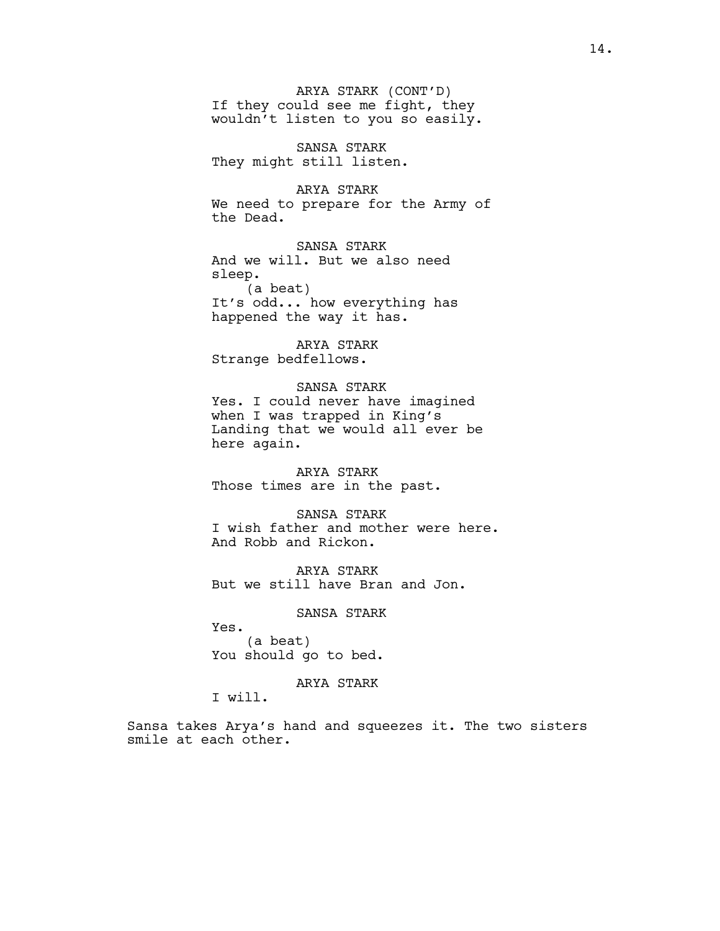ARYA STARK (CONT'D) If they could see me fight, they wouldn't listen to you so easily.

SANSA STARK They might still listen.

ARYA STARK We need to prepare for the Army of the Dead.

SANSA STARK And we will. But we also need sleep. (a beat)

It's odd... how everything has happened the way it has.

ARYA STARK Strange bedfellows.

SANSA STARK Yes. I could never have imagined when I was trapped in King's Landing that we would all ever be here again.

ARYA STARK Those times are in the past.

SANSA STARK I wish father and mother were here. And Robb and Rickon.

ARYA STARK But we still have Bran and Jon.

SANSA STARK

Yes. (a beat) You should go to bed.

ARYA STARK

I will.

Sansa takes Arya's hand and squeezes it. The two sisters smile at each other.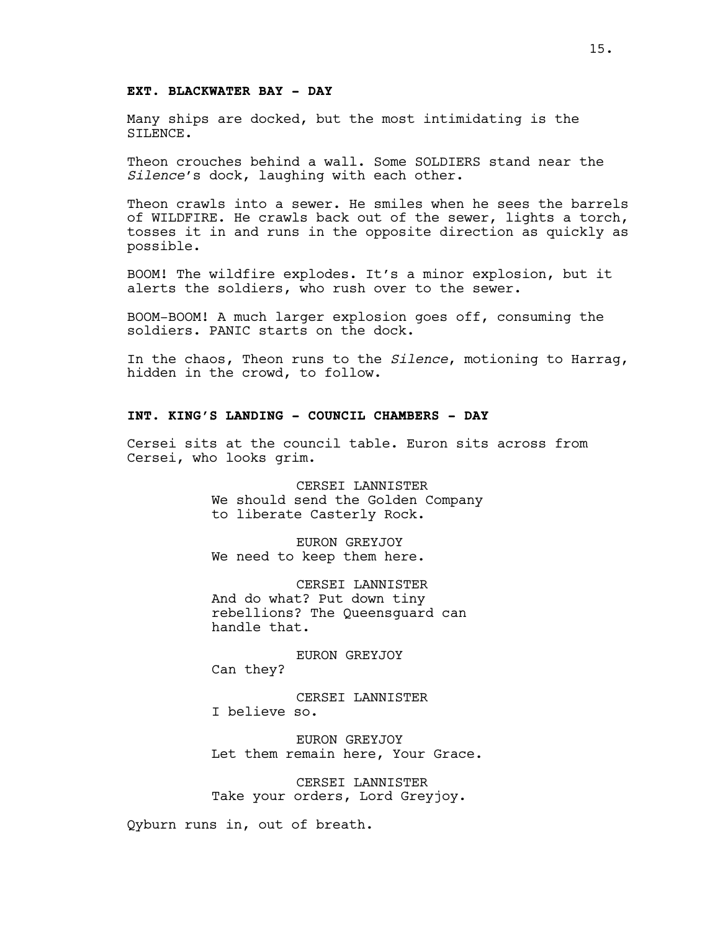# **EXT. BLACKWATER BAY - DAY**

Many ships are docked, but the most intimidating is the SILENCE.

Theon crouches behind a wall. Some SOLDIERS stand near the *Silence*'s dock, laughing with each other.

Theon crawls into a sewer. He smiles when he sees the barrels of WILDFIRE. He crawls back out of the sewer, lights a torch, tosses it in and runs in the opposite direction as quickly as possible.

BOOM! The wildfire explodes. It's a minor explosion, but it alerts the soldiers, who rush over to the sewer.

BOOM-BOOM! A much larger explosion goes off, consuming the soldiers. PANIC starts on the dock.

In the chaos, Theon runs to the *Silence*, motioning to Harrag, hidden in the crowd, to follow.

# **INT. KING'S LANDING - COUNCIL CHAMBERS - DAY**

Cersei sits at the council table. Euron sits across from Cersei, who looks grim.

> CERSEI LANNISTER We should send the Golden Company to liberate Casterly Rock.

EURON GREYJOY We need to keep them here.

CERSEI LANNISTER And do what? Put down tiny rebellions? The Queensguard can handle that.

EURON GREYJOY Can they?

CERSEI LANNISTER I believe so.

EURON GREYJOY Let them remain here, Your Grace.

CERSEI LANNISTER Take your orders, Lord Greyjoy.

Qyburn runs in, out of breath.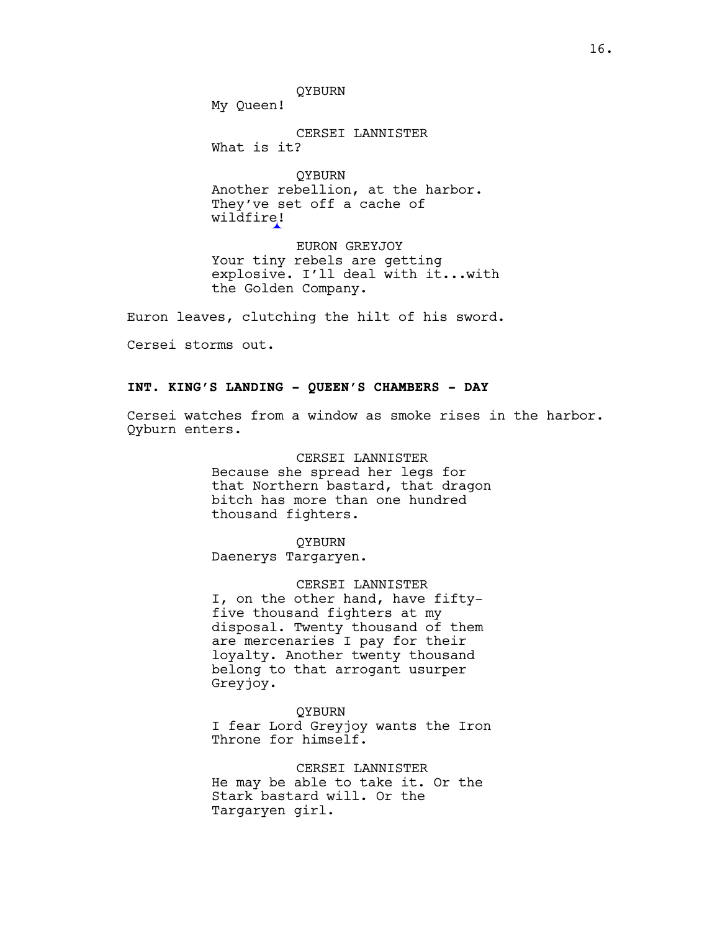QYBURN

My Queen!

CERSEI LANNISTER What is it?

QYBURN Another rebellion, at the harbor. They've set off a cache of wildfire!

EURON GREYJOY Your tiny rebels are getting explosive. I'll deal with it...with the Golden Company.

Euron leaves, clutching the hilt of his sword.

Cersei storms out.

# **INT. KING'S LANDING - QUEEN'S CHAMBERS - DAY**

Cersei watches from a window as smoke rises in the harbor. Qyburn enters.

> CERSEI LANNISTER Because she spread her legs for that Northern bastard, that dragon bitch has more than one hundred thousand fighters.

QYBURN Daenerys Targaryen.

CERSEI LANNISTER I, on the other hand, have fiftyfive thousand fighters at my disposal. Twenty thousand of them are mercenaries I pay for their loyalty. Another twenty thousand belong to that arrogant usurper Greyjoy.

QYBURN I fear Lord Greyjoy wants the Iron Throne for himself.

CERSEI LANNISTER He may be able to take it. Or the Stark bastard will. Or the Targaryen girl.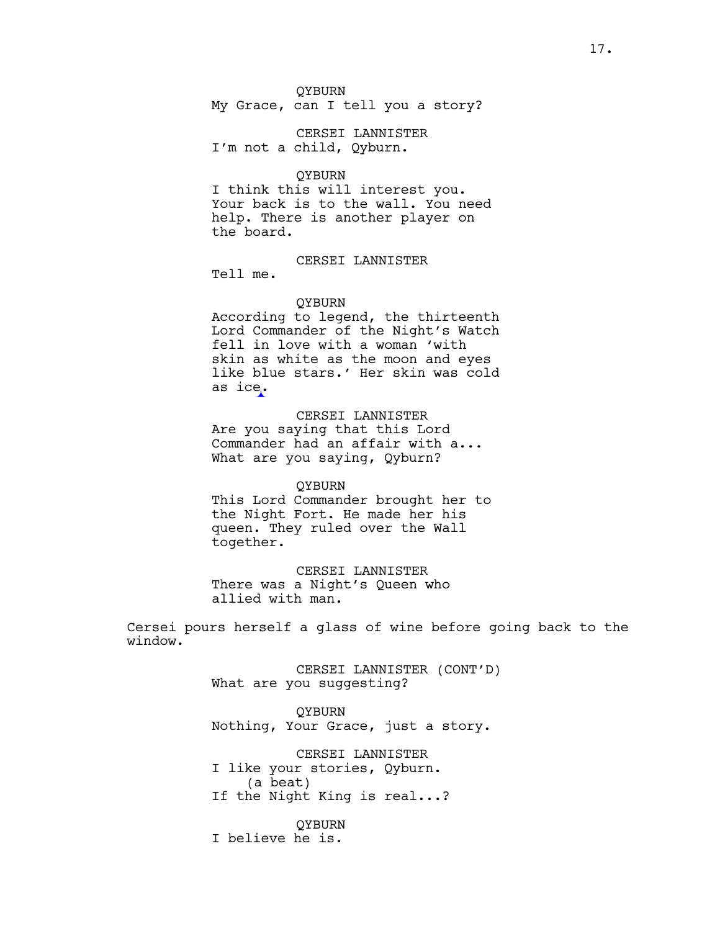QYBURN My Grace, can I tell you a story?

CERSEI LANNISTER I'm not a child, Qyburn.

QYBURN

I think this will interest you. Your back is to the wall. You need help. There is another player on the board.

CERSEI LANNISTER

Tell me.

QYBURN

According to legend, the thirteenth Lord Commander of the Night's Watch fell in love with a woman 'with skin as white as the moon and eyes like blue stars.' Her skin was cold as ice.

CERSEI LANNISTER Are you saying that this Lord Commander had an affair with a... What are you saying, Qyburn?

QYBURN This Lord Commander brought her to the Night Fort. He made her his

queen. They ruled over the Wall together.

CERSEI LANNISTER There was a Night's Queen who allied with man.

Cersei pours herself a glass of wine before going back to the window.

> CERSEI LANNISTER (CONT'D) What are you suggesting?

QYBURN Nothing, Your Grace, just a story.

CERSEI LANNISTER I like your stories, Qyburn. (a beat) If the Night King is real...?

QYBURN I believe he is.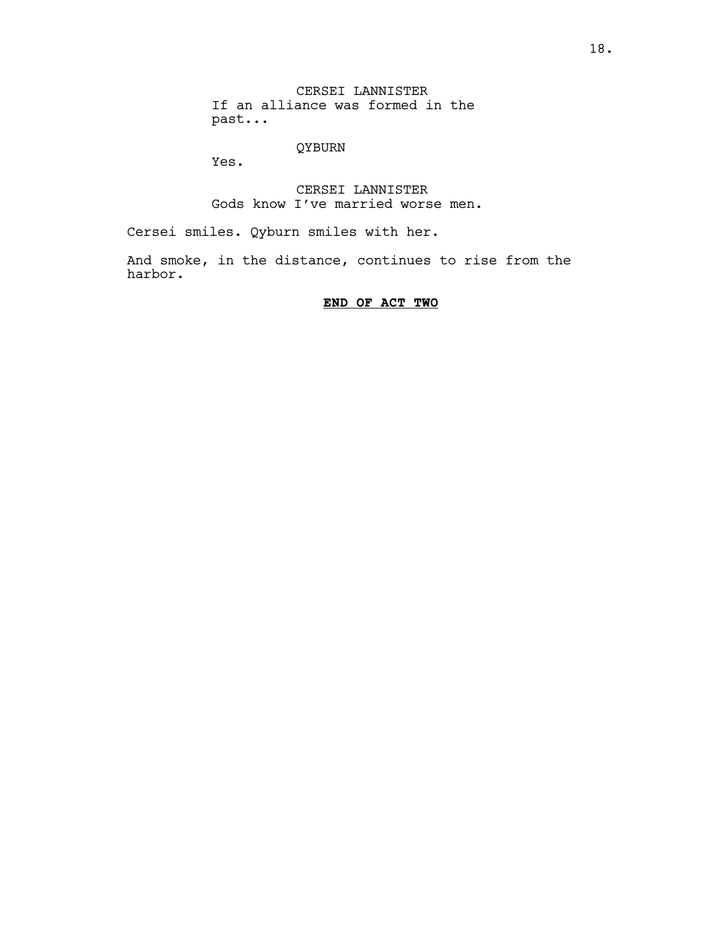CERSEI LANNISTER If an alliance was formed in the past...

# QYBURN

Yes.

CERSEI LANNISTER Gods know I've married worse men.

Cersei smiles. Qyburn smiles with her.

And smoke, in the distance, continues to rise from the harbor.

# **END OF ACT TWO**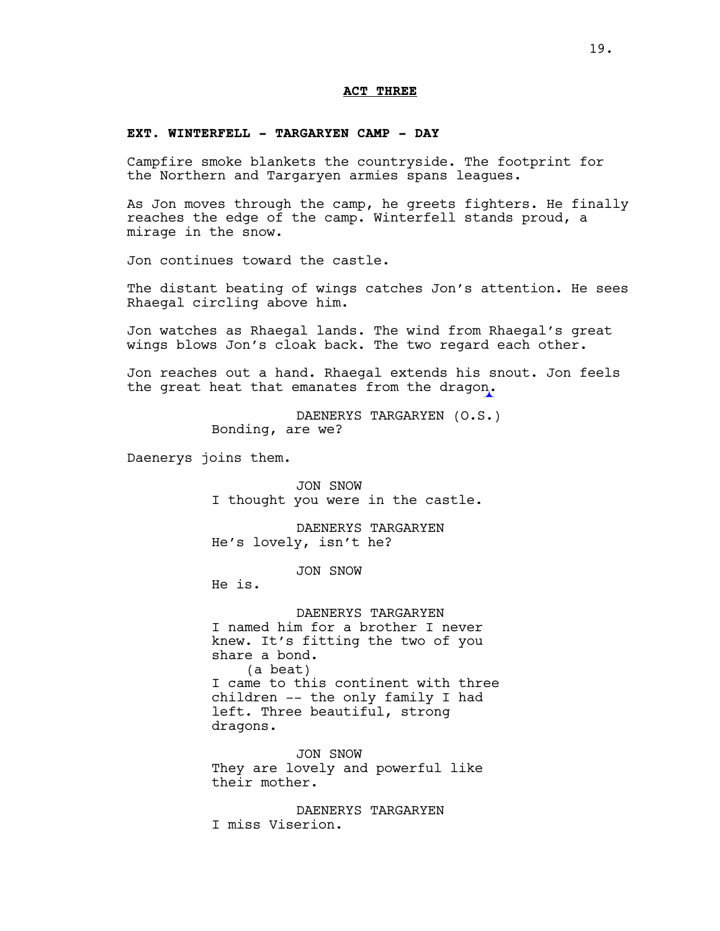### **ACT THREE**

### **EXT. WINTERFELL - TARGARYEN CAMP - DAY**

Campfire smoke blankets the countryside. The footprint for the Northern and Targaryen armies spans leagues.

As Jon moves through the camp, he greets fighters. He finally reaches the edge of the camp. Winterfell stands proud, a mirage in the snow.

Jon continues toward the castle.

The distant beating of wings catches Jon's attention. He sees Rhaegal circling above him.

Jon watches as Rhaegal lands. The wind from Rhaegal's great wings blows Jon's cloak back. The two regard each other.

Jon reaches out a hand. Rhaegal extends his snout. Jon feels the great heat that emanates from the dragon.

> DAENERYS TARGARYEN (O.S.) Bonding, are we?

Daenerys joins them.

JON SNOW I thought you were in the castle.

DAENERYS TARGARYEN He's lovely, isn't he?

JON SNOW

He is.

DAENERYS TARGARYEN I named him for a brother I never knew. It's fitting the two of you share a bond. (a beat) I came to this continent with three children -- the only family I had left. Three beautiful, strong dragons.

JON SNOW They are lovely and powerful like their mother.

DAENERYS TARGARYEN I miss Viserion.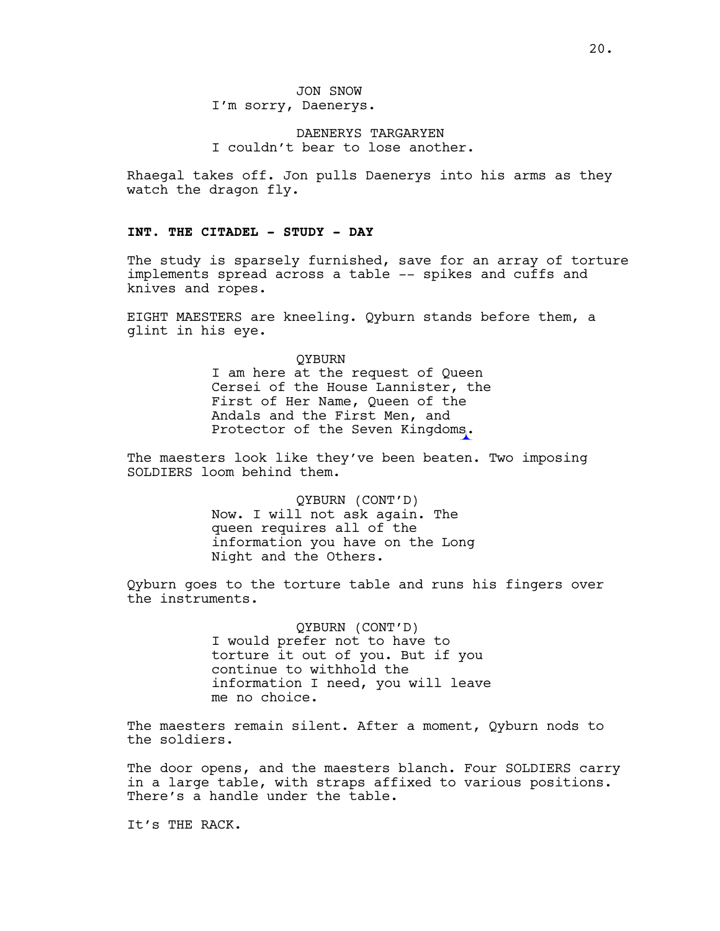DAENERYS TARGARYEN I couldn't bear to lose another.

Rhaegal takes off. Jon pulls Daenerys into his arms as they watch the dragon fly.

# **INT. THE CITADEL - STUDY - DAY**

The study is sparsely furnished, save for an array of torture implements spread across a table -- spikes and cuffs and knives and ropes.

EIGHT MAESTERS are kneeling. Qyburn stands before them, a glint in his eye.

> QYBURN I am here at the request of Queen Cersei of the House Lannister, the First of Her Name, Queen of the Andals and the First Men, and Protector of the Seven Kingdoms.

The maesters look like they've been beaten. Two imposing SOLDIERS loom behind them.

> QYBURN (CONT'D) Now. I will not ask again. The queen requires all of the information you have on the Long Night and the Others.

Qyburn goes to the torture table and runs his fingers over the instruments.

> QYBURN (CONT'D) I would prefer not to have to torture it out of you. But if you continue to withhold the information I need, you will leave me no choice.

The maesters remain silent. After a moment, Qyburn nods to the soldiers.

The door opens, and the maesters blanch. Four SOLDIERS carry in a large table, with straps affixed to various positions. There's a handle under the table.

It's THE RACK.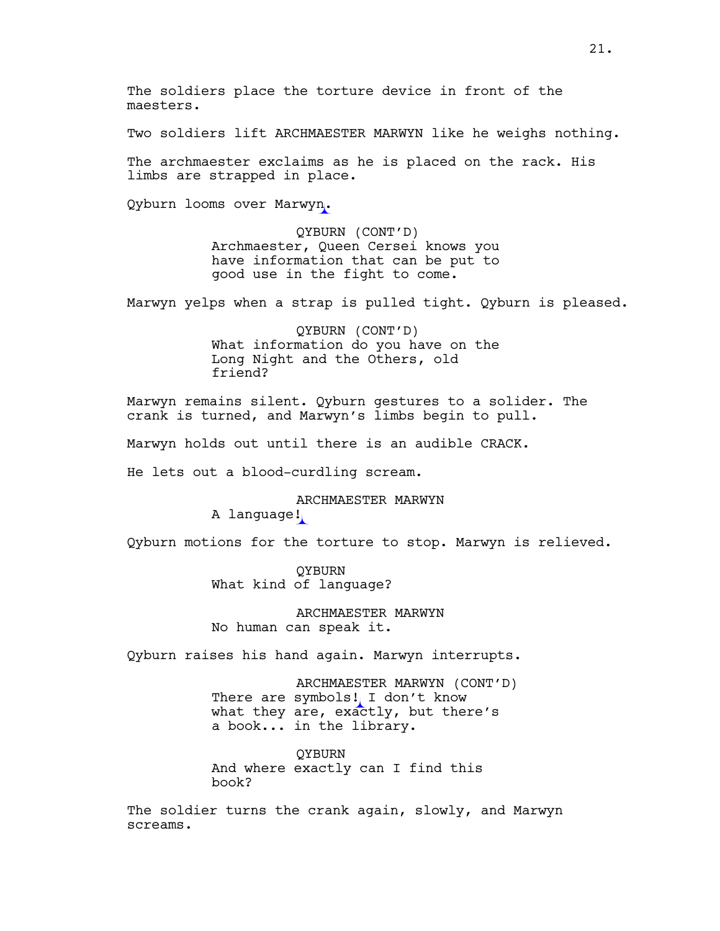The soldiers place the torture device in front of the maesters.

Two soldiers lift ARCHMAESTER MARWYN like he weighs nothing.

The archmaester exclaims as he is placed on the rack. His limbs are strapped in place.

Qyburn looms over Marwyn.

QYBURN (CONT'D) Archmaester, Queen Cersei knows you have information that can be put to good use in the fight to come.

Marwyn yelps when a strap is pulled tight. Qyburn is pleased.

QYBURN (CONT'D) What information do you have on the Long Night and the Others, old friend?

Marwyn remains silent. Qyburn gestures to a solider. The crank is turned, and Marwyn's limbs begin to pull.

Marwyn holds out until there is an audible CRACK.

He lets out a blood-curdling scream.

ARCHMAESTER MARWYN

A language!

Qyburn motions for the torture to stop. Marwyn is relieved.

**OYBURN** What kind of language?

ARCHMAESTER MARWYN No human can speak it.

Qyburn raises his hand again. Marwyn interrupts.

ARCHMAESTER MARWYN (CONT'D) There are symbols! I don't know what they are, exactly, but there's a book... in the library.

QYBURN And where exactly can I find this book?

The soldier turns the crank again, slowly, and Marwyn screams.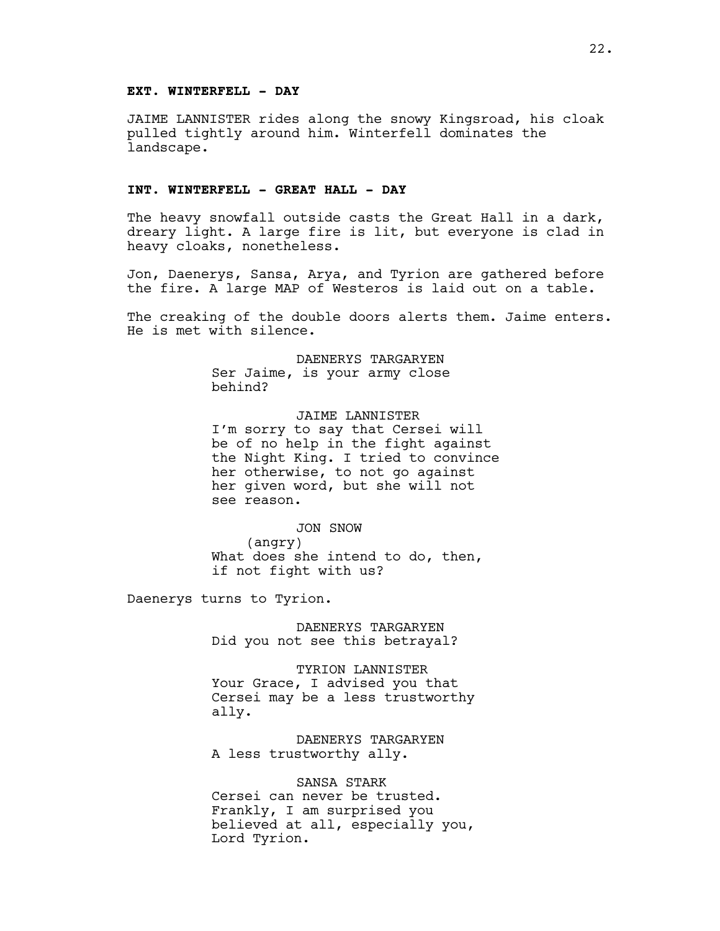### **EXT. WINTERFELL - DAY**

JAIME LANNISTER rides along the snowy Kingsroad, his cloak pulled tightly around him. Winterfell dominates the landscape.

### **INT. WINTERFELL - GREAT HALL - DAY**

The heavy snowfall outside casts the Great Hall in a dark, dreary light. A large fire is lit, but everyone is clad in heavy cloaks, nonetheless.

Jon, Daenerys, Sansa, Arya, and Tyrion are gathered before the fire. A large MAP of Westeros is laid out on a table.

The creaking of the double doors alerts them. Jaime enters. He is met with silence.

> DAENERYS TARGARYEN Ser Jaime, is your army close behind?

JAIME LANNISTER I'm sorry to say that Cersei will be of no help in the fight against the Night King. I tried to convince her otherwise, to not go against her given word, but she will not see reason.

#### JON SNOW

(angry) What does she intend to do, then, if not fight with us?

Daenerys turns to Tyrion.

DAENERYS TARGARYEN Did you not see this betrayal?

TYRION LANNISTER Your Grace, I advised you that Cersei may be a less trustworthy ally.

DAENERYS TARGARYEN A less trustworthy ally.

SANSA STARK Cersei can never be trusted. Frankly, I am surprised you believed at all, especially you, Lord Tyrion.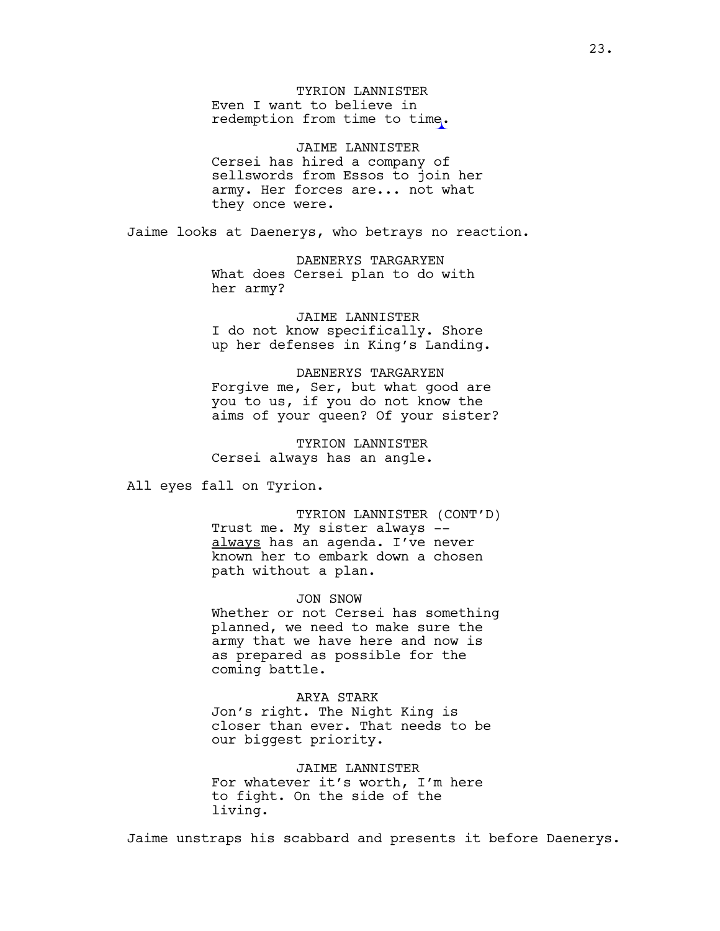TYRION LANNISTER Even I want to believe in redemption from time to time.

JAIME LANNISTER Cersei has hired a company of sellswords from Essos to join her army. Her forces are... not what they once were.

Jaime looks at Daenerys, who betrays no reaction.

DAENERYS TARGARYEN What does Cersei plan to do with her army?

JAIME LANNISTER I do not know specifically. Shore up her defenses in King's Landing.

DAENERYS TARGARYEN Forgive me, Ser, but what good are you to us, if you do not know the aims of your queen? Of your sister?

TYRION LANNISTER Cersei always has an angle.

All eyes fall on Tyrion.

TYRION LANNISTER (CONT'D) Trust me. My sister always - always has an agenda. I've never known her to embark down a chosen path without a plan.

JON SNOW

Whether or not Cersei has something planned, we need to make sure the army that we have here and now is as prepared as possible for the coming battle.

ARYA STARK

Jon's right. The Night King is closer than ever. That needs to be our biggest priority.

JAIME LANNISTER For whatever it's worth, I'm here to fight. On the side of the living.

Jaime unstraps his scabbard and presents it before Daenerys.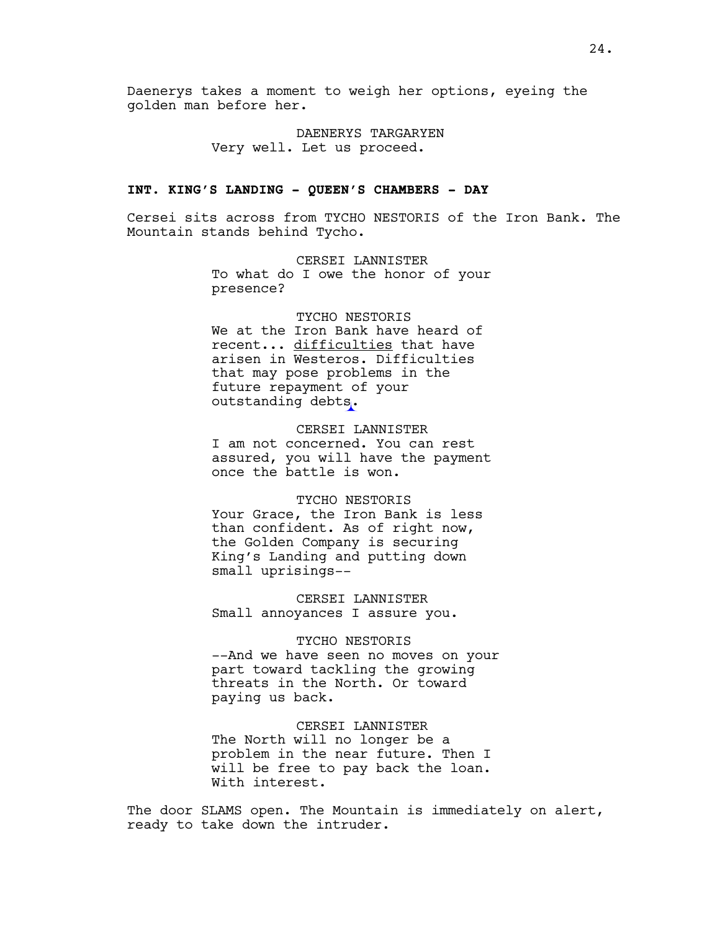Daenerys takes a moment to weigh her options, eyeing the golden man before her.

> DAENERYS TARGARYEN Very well. Let us proceed.

#### **INT. KING'S LANDING - QUEEN'S CHAMBERS - DAY**

Cersei sits across from TYCHO NESTORIS of the Iron Bank. The Mountain stands behind Tycho.

> CERSEI LANNISTER To what do I owe the honor of your presence?

# TYCHO NESTORIS We at the Iron Bank have heard of recent... difficulties that have arisen in Westeros. Difficulties that may pose problems in the future repayment of your outstanding debts.

CERSEI LANNISTER I am not concerned. You can rest assured, you will have the payment once the battle is won.

#### TYCHO NESTORIS

Your Grace, the Iron Bank is less than confident. As of right now, the Golden Company is securing King's Landing and putting down small uprisings--

CERSEI LANNISTER Small annoyances I assure you.

### TYCHO NESTORIS

--And we have seen no moves on your part toward tackling the growing threats in the North. Or toward paying us back.

CERSEI LANNISTER The North will no longer be a problem in the near future. Then I will be free to pay back the loan. With interest.

The door SLAMS open. The Mountain is immediately on alert, ready to take down the intruder.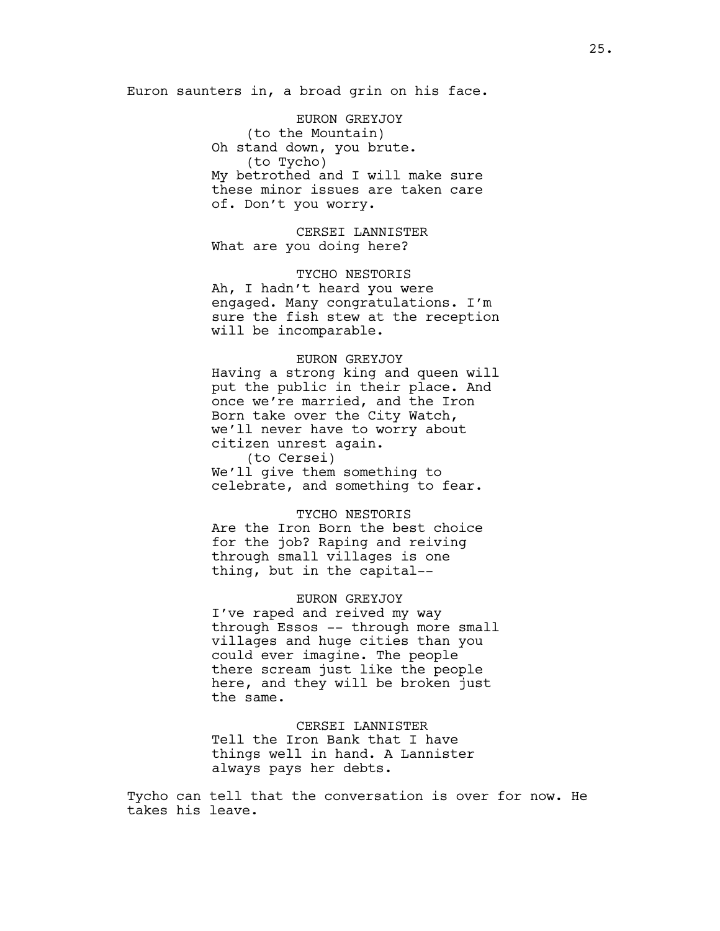Euron saunters in, a broad grin on his face.

EURON GREYJOY (to the Mountain) Oh stand down, you brute. (to Tycho) My betrothed and I will make sure these minor issues are taken care of. Don't you worry.

CERSEI LANNISTER What are you doing here?

TYCHO NESTORIS Ah, I hadn't heard you were engaged. Many congratulations. I'm sure the fish stew at the reception will be incomparable.

# EURON GREYJOY

Having a strong king and queen will put the public in their place. And once we're married, and the Iron Born take over the City Watch, we'll never have to worry about citizen unrest again. (to Cersei)

We'll give them something to celebrate, and something to fear.

### TYCHO NESTORIS

Are the Iron Born the best choice for the job? Raping and reiving through small villages is one thing, but in the capital--

#### EURON GREYJOY

I've raped and reived my way through Essos -- through more small villages and huge cities than you could ever imagine. The people there scream just like the people here, and they will be broken just the same.

CERSEI LANNISTER Tell the Iron Bank that I have things well in hand. A Lannister always pays her debts.

Tycho can tell that the conversation is over for now. He takes his leave.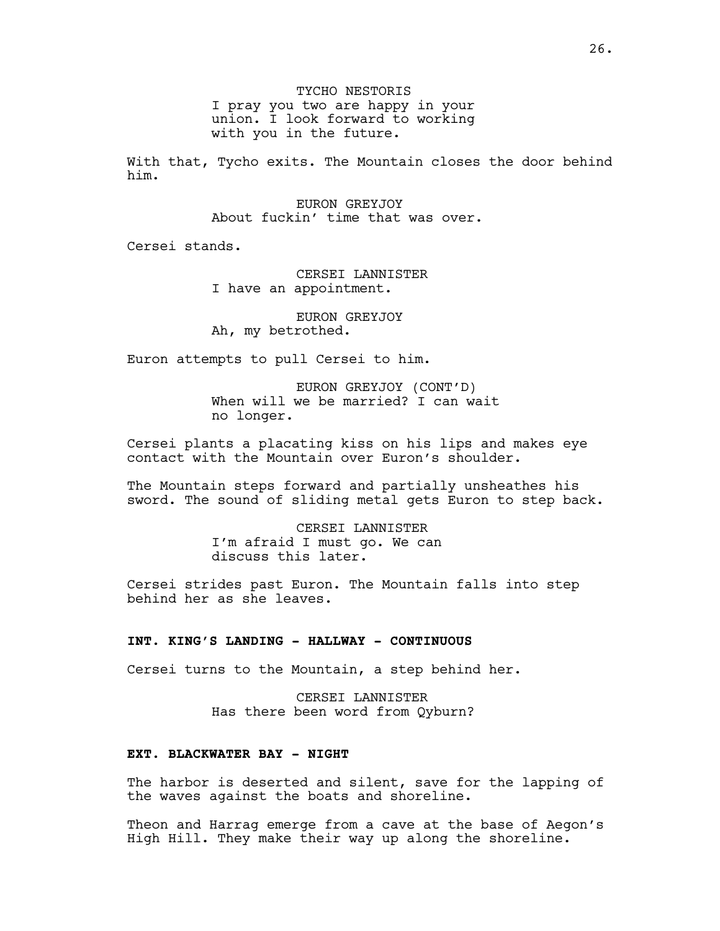TYCHO NESTORIS I pray you two are happy in your union. I look forward to working with you in the future.

With that, Tycho exits. The Mountain closes the door behind him.

> EURON GREYJOY About fuckin' time that was over.

Cersei stands.

CERSEI LANNISTER I have an appointment.

EURON GREYJOY Ah, my betrothed.

Euron attempts to pull Cersei to him.

EURON GREYJOY (CONT'D) When will we be married? I can wait no longer.

Cersei plants a placating kiss on his lips and makes eye contact with the Mountain over Euron's shoulder.

The Mountain steps forward and partially unsheathes his sword. The sound of sliding metal gets Euron to step back.

> CERSEI LANNISTER I'm afraid I must go. We can discuss this later.

Cersei strides past Euron. The Mountain falls into step behind her as she leaves.

### **INT. KING'S LANDING - HALLWAY - CONTINUOUS**

Cersei turns to the Mountain, a step behind her.

CERSEI LANNISTER Has there been word from Qyburn?

### **EXT. BLACKWATER BAY - NIGHT**

The harbor is deserted and silent, save for the lapping of the waves against the boats and shoreline.

Theon and Harrag emerge from a cave at the base of Aegon's High Hill. They make their way up along the shoreline.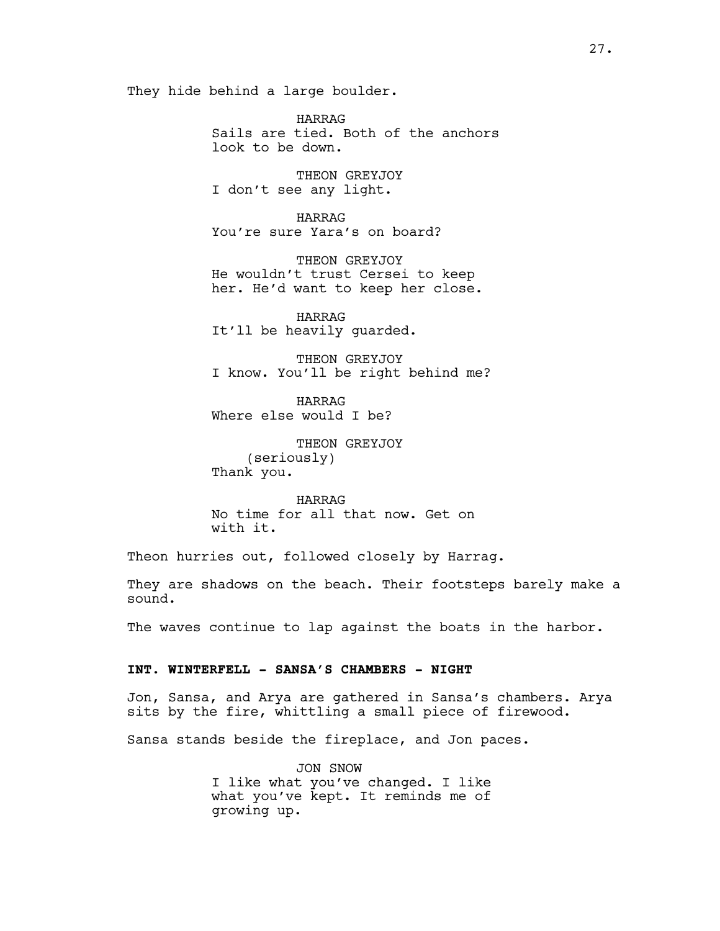They hide behind a large boulder.

HARRAG Sails are tied. Both of the anchors look to be down.

THEON GREYJOY I don't see any light.

HARRAG You're sure Yara's on board?

THEON GREYJOY He wouldn't trust Cersei to keep her. He'd want to keep her close.

HARRAG It'll be heavily guarded.

THEON GREYJOY I know. You'll be right behind me?

HARRAG Where else would I be?

THEON GREYJOY (seriously) Thank you.

HARRAG No time for all that now. Get on with it.

Theon hurries out, followed closely by Harrag.

They are shadows on the beach. Their footsteps barely make a sound.

The waves continue to lap against the boats in the harbor.

### **INT. WINTERFELL - SANSA'S CHAMBERS - NIGHT**

Jon, Sansa, and Arya are gathered in Sansa's chambers. Arya sits by the fire, whittling a small piece of firewood.

Sansa stands beside the fireplace, and Jon paces.

JON SNOW I like what you've changed. I like what you've kept. It reminds me of growing up.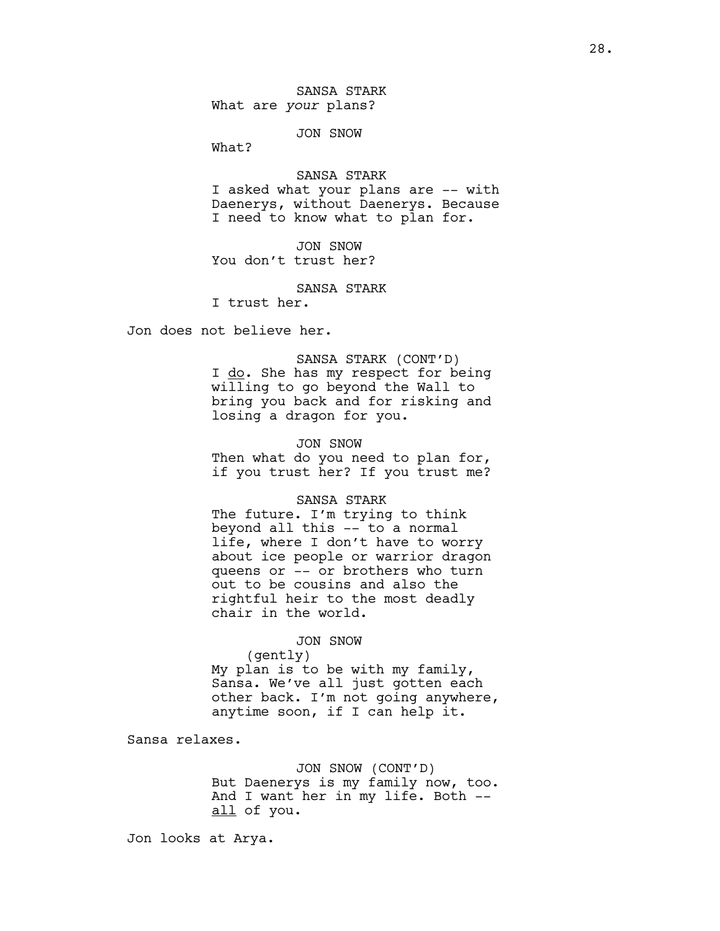SANSA STARK What are *your* plans?

JON SNOW

What?

SANSA STARK I asked what your plans are –– with Daenerys, without Daenerys. Because I need to know what to plan for.

JON SNOW You don't trust her?

SANSA STARK

I trust her.

Jon does not believe her.

SANSA STARK (CONT'D) I do. She has my respect for being willing to go beyond the Wall to bring you back and for risking and losing a dragon for you.

JON SNOW Then what do you need to plan for, if you trust her? If you trust me?

SANSA STARK

The future. I'm trying to think beyond all this –– to a normal life, where I don't have to worry about ice people or warrior dragon queens or –– or brothers who turn out to be cousins and also the rightful heir to the most deadly chair in the world.

JON SNOW

(gently)

My plan is to be with my family, Sansa. We've all just gotten each other back. I'm not going anywhere, anytime soon, if I can help it.

Sansa relaxes.

JON SNOW (CONT'D) But Daenerys is my family now, too. And I want her in my life. Both - all of you.

Jon looks at Arya.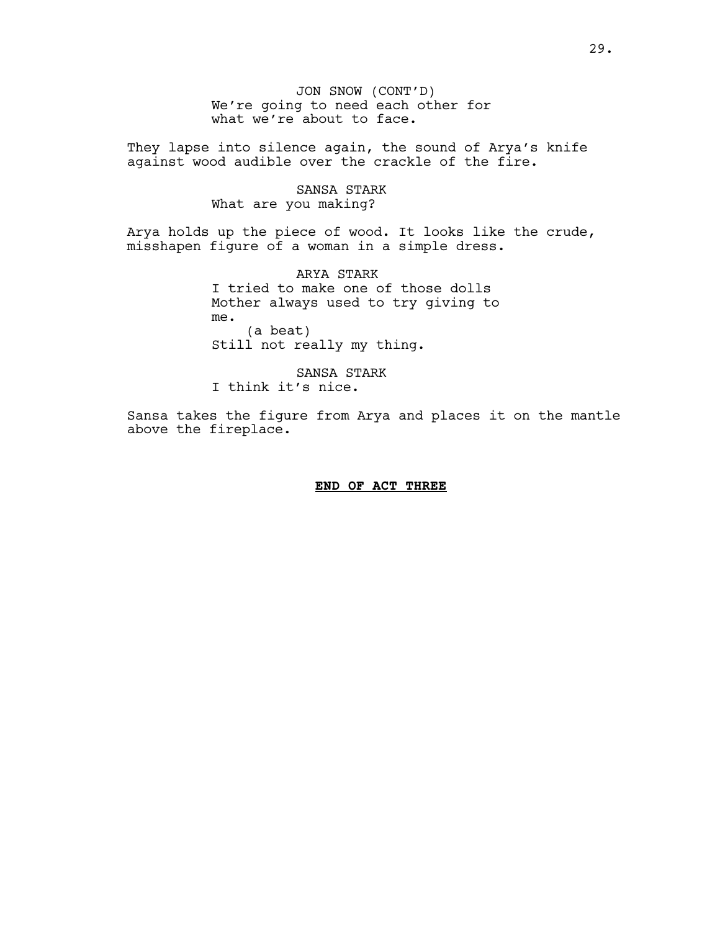JON SNOW (CONT'D) We're going to need each other for what we're about to face.

They lapse into silence again, the sound of Arya's knife against wood audible over the crackle of the fire.

> SANSA STARK What are you making?

Arya holds up the piece of wood. It looks like the crude, misshapen figure of a woman in a simple dress.

> ARYA STARK I tried to make one of those dolls Mother always used to try giving to me. (a beat) Still not really my thing.

SANSA STARK I think it's nice.

Sansa takes the figure from Arya and places it on the mantle above the fireplace.

### **END OF ACT THREE**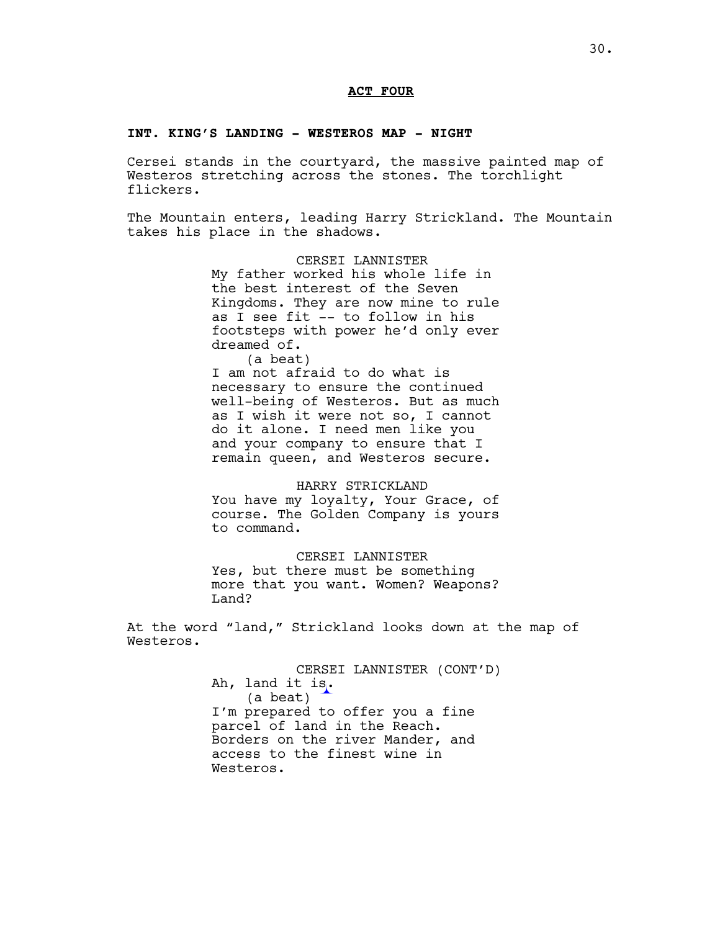### **ACT FOUR**

### **INT. KING'S LANDING - WESTEROS MAP - NIGHT**

Cersei stands in the courtyard, the massive painted map of Westeros stretching across the stones. The torchlight flickers.

The Mountain enters, leading Harry Strickland. The Mountain takes his place in the shadows.

> CERSEI LANNISTER My father worked his whole life in the best interest of the Seven Kingdoms. They are now mine to rule as I see fit -- to follow in his footsteps with power he'd only ever dreamed of.

> (a beat) I am not afraid to do what is necessary to ensure the continued well-being of Westeros. But as much as I wish it were not so, I cannot do it alone. I need men like you and your company to ensure that I remain queen, and Westeros secure.

> HARRY STRICKLAND You have my loyalty, Your Grace, of course. The Golden Company is yours to command.

> CERSEI LANNISTER Yes, but there must be something more that you want. Women? Weapons? Land?

At the word "land," Strickland looks down at the map of Westeros.

> CERSEI LANNISTER (CONT'D) Ah, land it is. (a beat) I'm prepared to offer you a fine parcel of land in the Reach. Borders on the river Mander, and access to the finest wine in Westeros.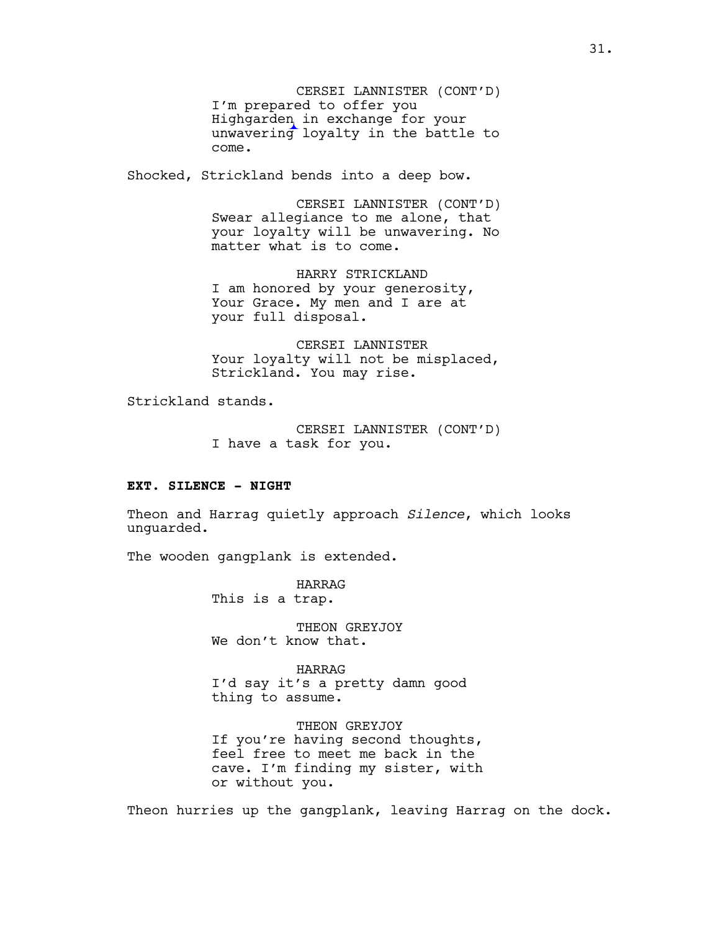CERSEI LANNISTER (CONT'D) I'm prepared to offer you Highgarden in exchange for your unwavering loyalty in the battle to come.

Shocked, Strickland bends into a deep bow.

CERSEI LANNISTER (CONT'D) Swear allegiance to me alone, that your loyalty will be unwavering. No matter what is to come.

HARRY STRICKLAND I am honored by your generosity, Your Grace. My men and I are at your full disposal.

CERSEI LANNISTER Your loyalty will not be misplaced, Strickland. You may rise.

Strickland stands.

CERSEI LANNISTER (CONT'D) I have a task for you.

### **EXT. SILENCE - NIGHT**

Theon and Harrag quietly approach *Silence*, which looks unguarded.

The wooden gangplank is extended.

HARRAG This is a trap.

THEON GREYJOY We don't know that.

HARRAG I'd say it's a pretty damn good thing to assume.

THEON GREYJOY If you're having second thoughts, feel free to meet me back in the cave. I'm finding my sister, with or without you.

Theon hurries up the gangplank, leaving Harrag on the dock.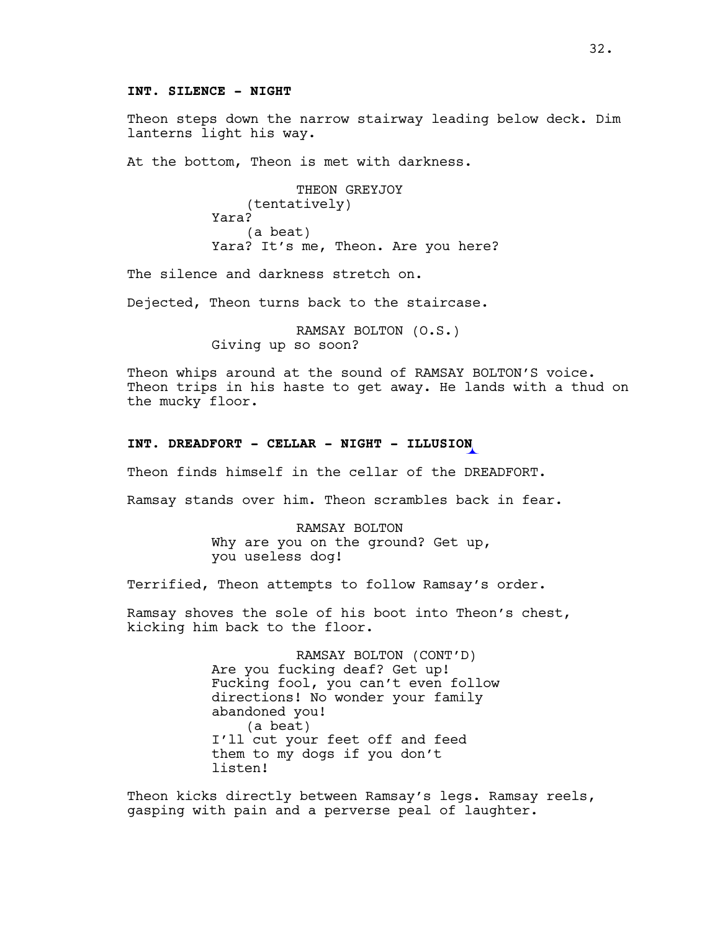# **INT. SILENCE - NIGHT**

Theon steps down the narrow stairway leading below deck. Dim lanterns light his way.

At the bottom, Theon is met with darkness.

THEON GREYJOY (tentatively) Yara? (a beat) Yara? It's me, Theon. Are you here?

The silence and darkness stretch on.

Dejected, Theon turns back to the staircase.

RAMSAY BOLTON (O.S.) Giving up so soon?

Theon whips around at the sound of RAMSAY BOLTON'S voice. Theon trips in his haste to get away. He lands with a thud on the mucky floor.

#### **INT. DREADFORT - CELLAR - NIGHT - ILLUSION**

Theon finds himself in the cellar of the DREADFORT.

Ramsay stands over him. Theon scrambles back in fear.

RAMSAY BOLTON Why are you on the ground? Get up, you useless dog!

Terrified, Theon attempts to follow Ramsay's order.

Ramsay shoves the sole of his boot into Theon's chest, kicking him back to the floor.

> RAMSAY BOLTON (CONT'D) Are you fucking deaf? Get up! Fucking fool, you can't even follow directions! No wonder your family abandoned you! (a beat) I'll cut your feet off and feed them to my dogs if you don't listen!

Theon kicks directly between Ramsay's legs. Ramsay reels, gasping with pain and a perverse peal of laughter.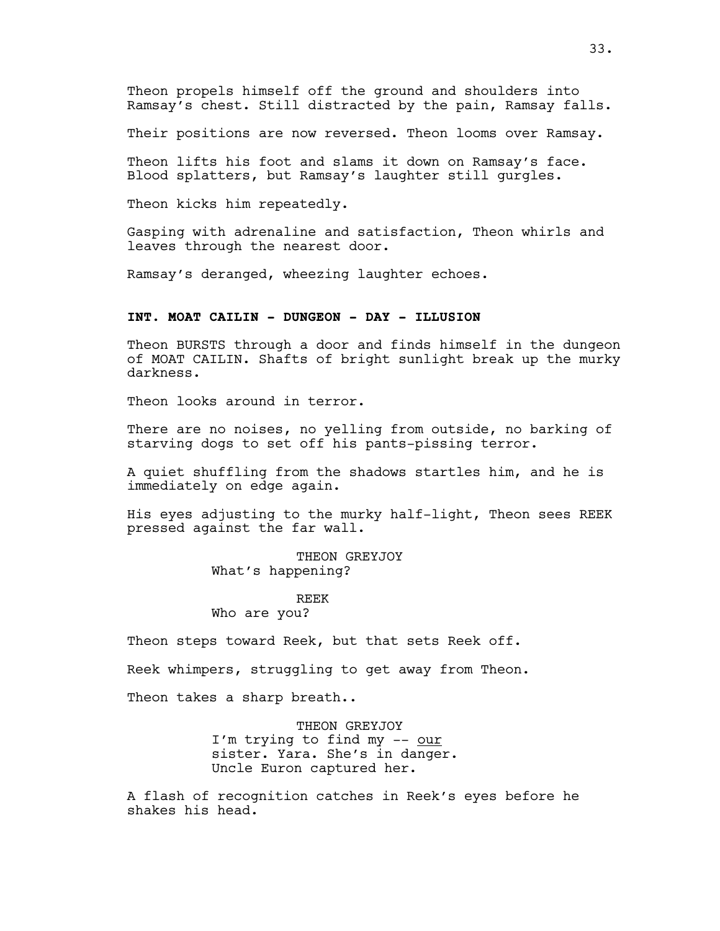Theon propels himself off the ground and shoulders into Ramsay's chest. Still distracted by the pain, Ramsay falls.

Their positions are now reversed. Theon looms over Ramsay.

Theon lifts his foot and slams it down on Ramsay's face. Blood splatters, but Ramsay's laughter still gurgles.

Theon kicks him repeatedly.

Gasping with adrenaline and satisfaction, Theon whirls and leaves through the nearest door.

Ramsay's deranged, wheezing laughter echoes.

# **INT. MOAT CAILIN - DUNGEON - DAY - ILLUSION**

Theon BURSTS through a door and finds himself in the dungeon of MOAT CAILIN. Shafts of bright sunlight break up the murky darkness.

Theon looks around in terror.

There are no noises, no yelling from outside, no barking of starving dogs to set off his pants-pissing terror.

A quiet shuffling from the shadows startles him, and he is immediately on edge again.

His eyes adjusting to the murky half-light, Theon sees REEK pressed against the far wall.

> THEON GREYJOY What's happening?

> > REEK

Who are you?

Theon steps toward Reek, but that sets Reek off.

Reek whimpers, struggling to get away from Theon.

Theon takes a sharp breath..

THEON GREYJOY I'm trying to find my -- our sister. Yara. She's in danger. Uncle Euron captured her.

A flash of recognition catches in Reek's eyes before he shakes his head.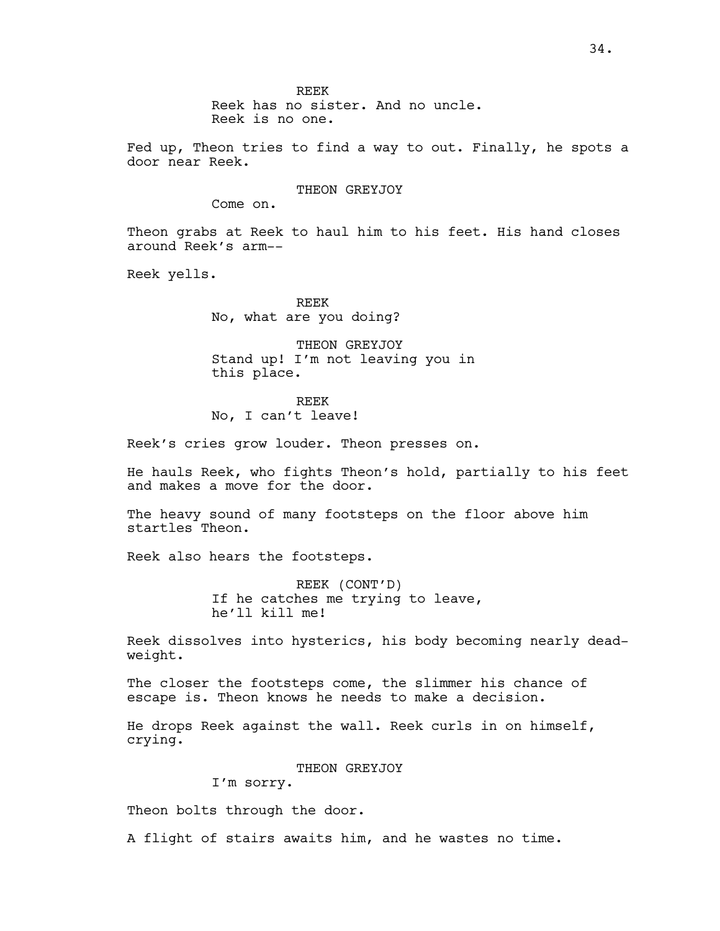REEK Reek has no sister. And no uncle. Reek is no one.

Fed up, Theon tries to find a way to out. Finally, he spots a door near Reek.

#### THEON GREYJOY

Come on.

Theon grabs at Reek to haul him to his feet. His hand closes around Reek's arm--

Reek yells.

REEK No, what are you doing?

THEON GREYJOY Stand up! I'm not leaving you in this place.

REEK No, I can't leave!

Reek's cries grow louder. Theon presses on.

He hauls Reek, who fights Theon's hold, partially to his feet and makes a move for the door.

The heavy sound of many footsteps on the floor above him startles Theon.

Reek also hears the footsteps.

REEK (CONT'D) If he catches me trying to leave, he'll kill me!

Reek dissolves into hysterics, his body becoming nearly deadweight.

The closer the footsteps come, the slimmer his chance of escape is. Theon knows he needs to make a decision.

He drops Reek against the wall. Reek curls in on himself, crying.

THEON GREYJOY

I'm sorry.

Theon bolts through the door.

A flight of stairs awaits him, and he wastes no time.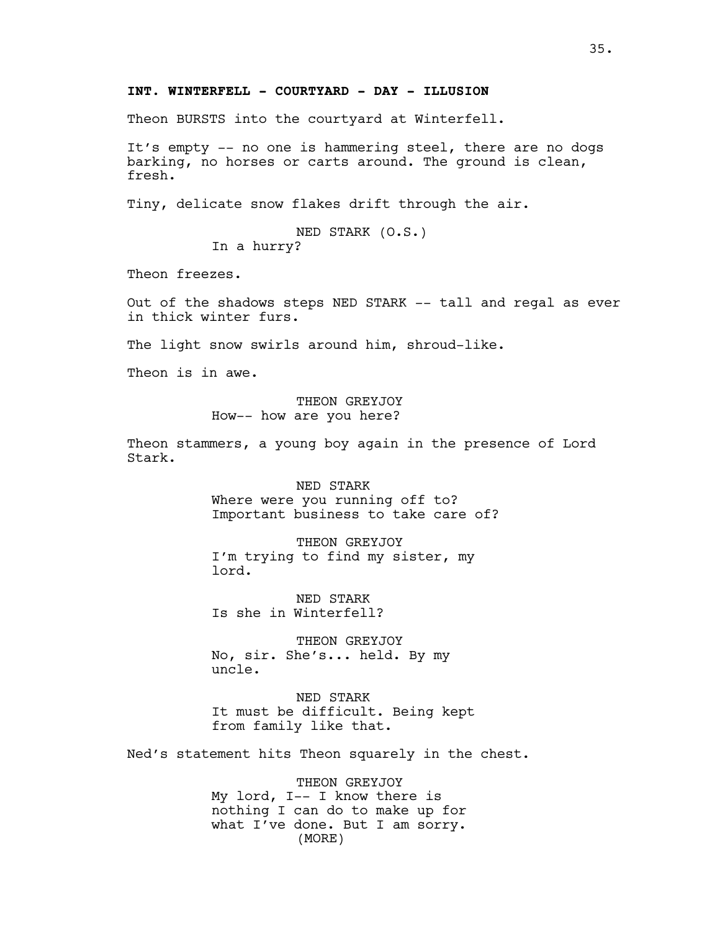### **INT. WINTERFELL - COURTYARD - DAY - ILLUSION**

Theon BURSTS into the courtyard at Winterfell.

It's empty -- no one is hammering steel, there are no dogs barking, no horses or carts around. The ground is clean, fresh.

Tiny, delicate snow flakes drift through the air.

NED STARK (O.S.) In a hurry?

Theon freezes.

Out of the shadows steps NED STARK -- tall and regal as ever in thick winter furs.

The light snow swirls around him, shroud-like.

Theon is in awe.

THEON GREYJOY How-- how are you here?

Theon stammers, a young boy again in the presence of Lord Stark.

> NED STARK Where were you running off to? Important business to take care of?

THEON GREYJOY I'm trying to find my sister, my lord.

NED STARK Is she in Winterfell?

THEON GREYJOY No, sir. She's... held. By my uncle.

NED STARK It must be difficult. Being kept from family like that.

Ned's statement hits Theon squarely in the chest.

THEON GREYJOY My lord, I-- I know there is nothing I can do to make up for what I've done. But I am sorry. (MORE)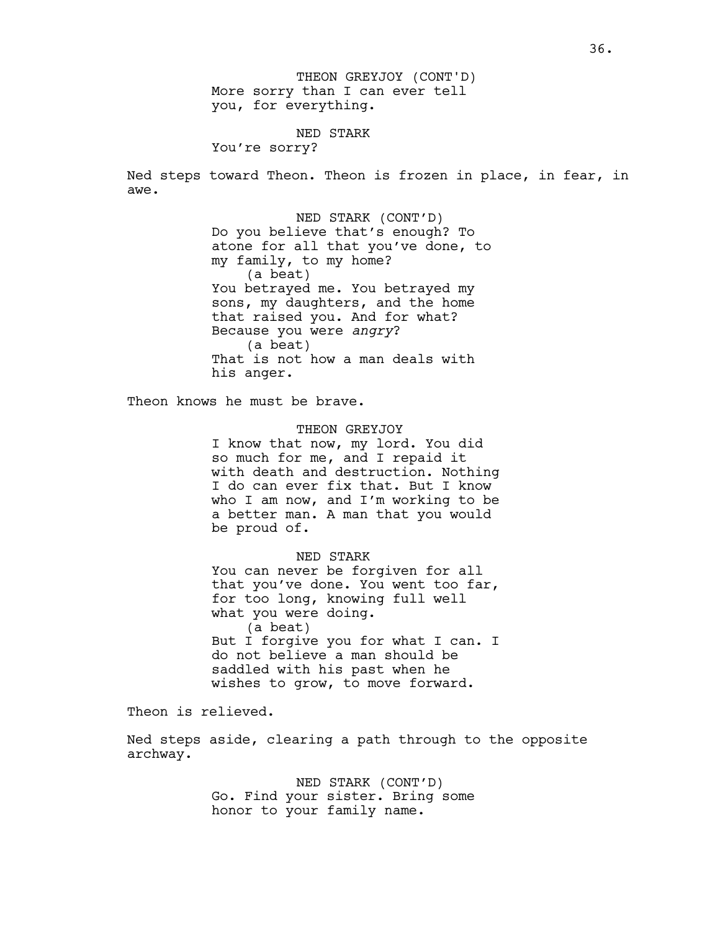More sorry than I can ever tell you, for everything. THEON GREYJOY (CONT'D)

### NED STARK

You're sorry?

Ned steps toward Theon. Theon is frozen in place, in fear, in awe.

> NED STARK (CONT'D) Do you believe that's enough? To atone for all that you've done, to my family, to my home? (a beat) You betrayed me. You betrayed my sons, my daughters, and the home that raised you. And for what? Because you were *angry*? (a beat) That is not how a man deals with his anger.

Theon knows he must be brave.

#### THEON GREYJOY

I know that now, my lord. You did so much for me, and I repaid it with death and destruction. Nothing I do can ever fix that. But I know who I am now, and I'm working to be a better man. A man that you would be proud of.

NED STARK You can never be forgiven for all that you've done. You went too far, for too long, knowing full well what you were doing. (a beat) But I forgive you for what I can. I do not believe a man should be saddled with his past when he wishes to grow, to move forward.

Theon is relieved.

Ned steps aside, clearing a path through to the opposite archway.

> NED STARK (CONT'D) Go. Find your sister. Bring some honor to your family name.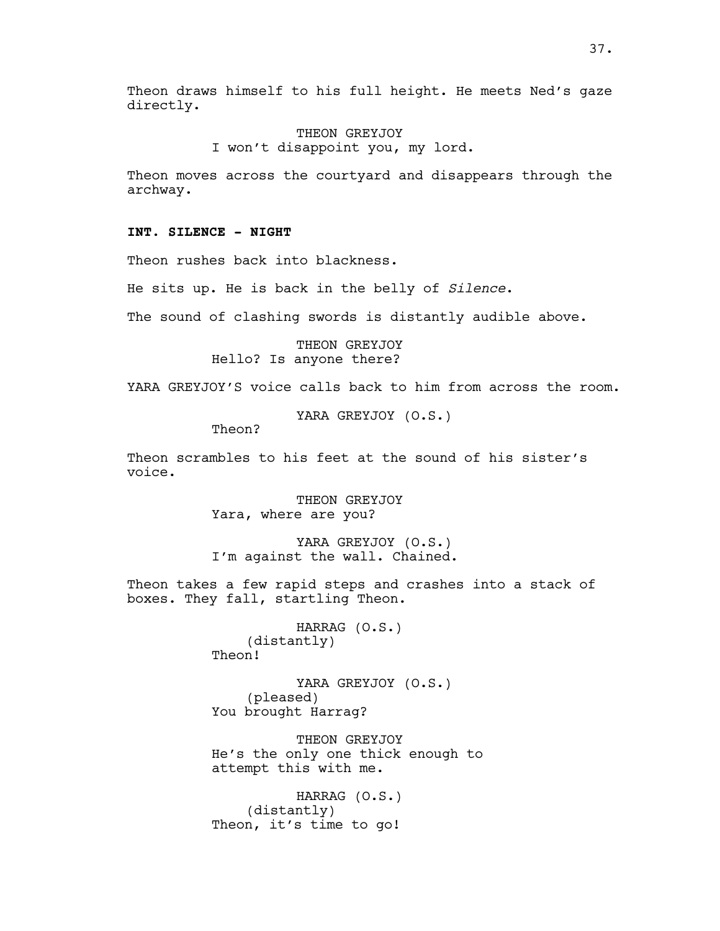Theon draws himself to his full height. He meets Ned's gaze directly.

> THEON GREYJOY I won't disappoint you, my lord.

Theon moves across the courtyard and disappears through the archway.

### **INT. SILENCE - NIGHT**

Theon rushes back into blackness.

He sits up. He is back in the belly of *Silence*.

The sound of clashing swords is distantly audible above.

THEON GREYJOY Hello? Is anyone there?

YARA GREYJOY'S voice calls back to him from across the room.

YARA GREYJOY (O.S.)

Theon?

Theon scrambles to his feet at the sound of his sister's voice.

> THEON GREYJOY Yara, where are you?

YARA GREYJOY (O.S.) I'm against the wall. Chained.

Theon takes a few rapid steps and crashes into a stack of boxes. They fall, startling Theon.

> HARRAG (O.S.) (distantly) Theon!

YARA GREYJOY (O.S.) (pleased) You brought Harrag?

THEON GREYJOY He's the only one thick enough to attempt this with me.

HARRAG (O.S.) (distantly) Theon, it's time to go!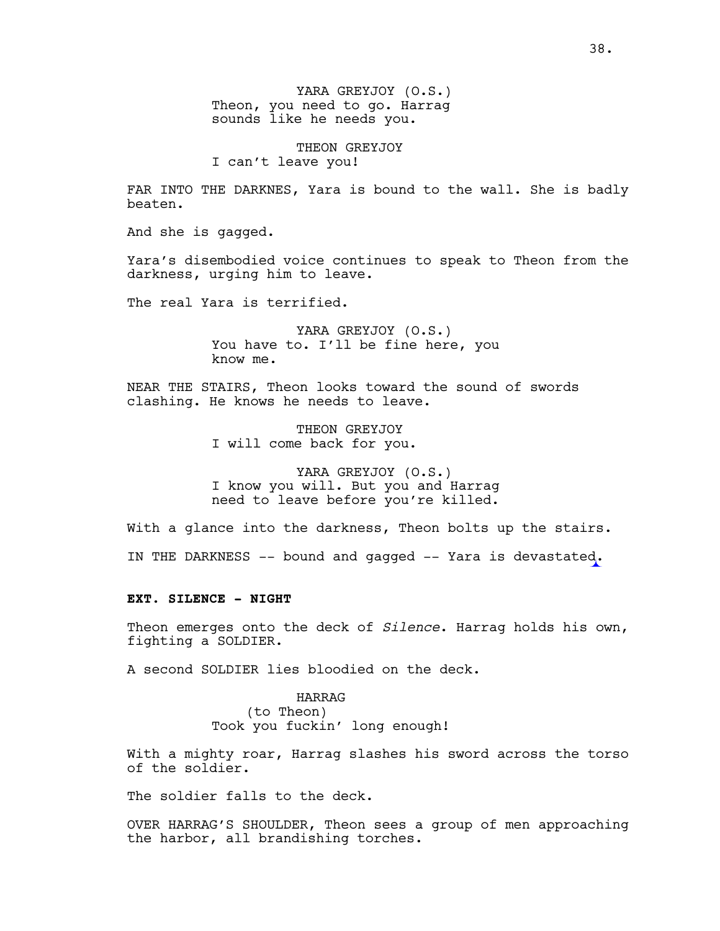YARA GREYJOY (O.S.) Theon, you need to go. Harrag sounds like he needs you.

THEON GREYJOY I can't leave you!

FAR INTO THE DARKNES, Yara is bound to the wall. She is badly beaten.

And she is gagged.

Yara's disembodied voice continues to speak to Theon from the darkness, urging him to leave.

The real Yara is terrified.

YARA GREYJOY (O.S.) You have to. I'll be fine here, you know me.

NEAR THE STAIRS, Theon looks toward the sound of swords clashing. He knows he needs to leave.

> THEON GREYJOY I will come back for you.

YARA GREYJOY (O.S.) I know you will. But you and Harrag need to leave before you're killed.

With a glance into the darkness, Theon bolts up the stairs.

IN THE DARKNESS –– bound and gagged –– Yara is devastated.

#### **EXT. SILENCE - NIGHT**

Theon emerges onto the deck of *Silence*. Harrag holds his own, fighting a SOLDIER.

A second SOLDIER lies bloodied on the deck.

HARRAG (to Theon) Took you fuckin' long enough!

With a mighty roar, Harrag slashes his sword across the torso of the soldier.

The soldier falls to the deck.

OVER HARRAG'S SHOULDER, Theon sees a group of men approaching the harbor, all brandishing torches.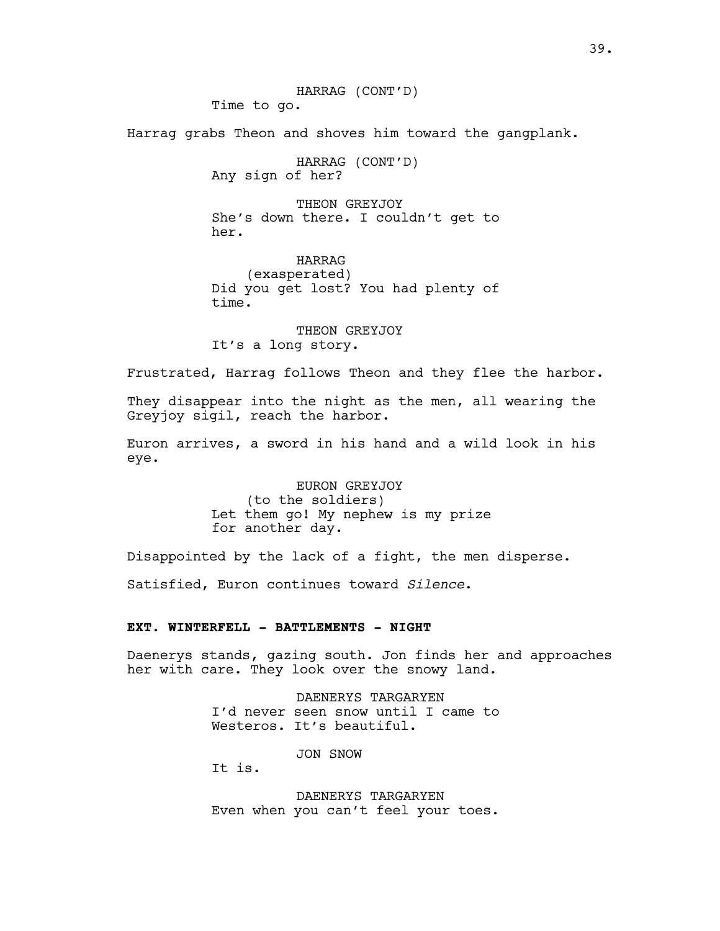HARRAG (CONT'D) Time to go.

Harrag grabs Theon and shoves him toward the gangplank.

HARRAG (CONT'D) Any sign of her?

THEON GREYJOY She's down there. I couldn't get to her.

HARRAG (exasperated) Did you get lost? You had plenty of time.

THEON GREYJOY It's a long story.

Frustrated, Harrag follows Theon and they flee the harbor.

They disappear into the night as the men, all wearing the Greyjoy sigil, reach the harbor.

Euron arrives, a sword in his hand and a wild look in his eye.

> EURON GREYJOY (to the soldiers) Let them go! My nephew is my prize for another day.

Disappointed by the lack of a fight, the men disperse.

Satisfied, Euron continues toward *Silence*.

# **EXT. WINTERFELL - BATTLEMENTS - NIGHT**

Daenerys stands, gazing south. Jon finds her and approaches her with care. They look over the snowy land.

> DAENERYS TARGARYEN I'd never seen snow until I came to Westeros. It's beautiful.

> > JON SNOW

It is.

DAENERYS TARGARYEN Even when you can't feel your toes.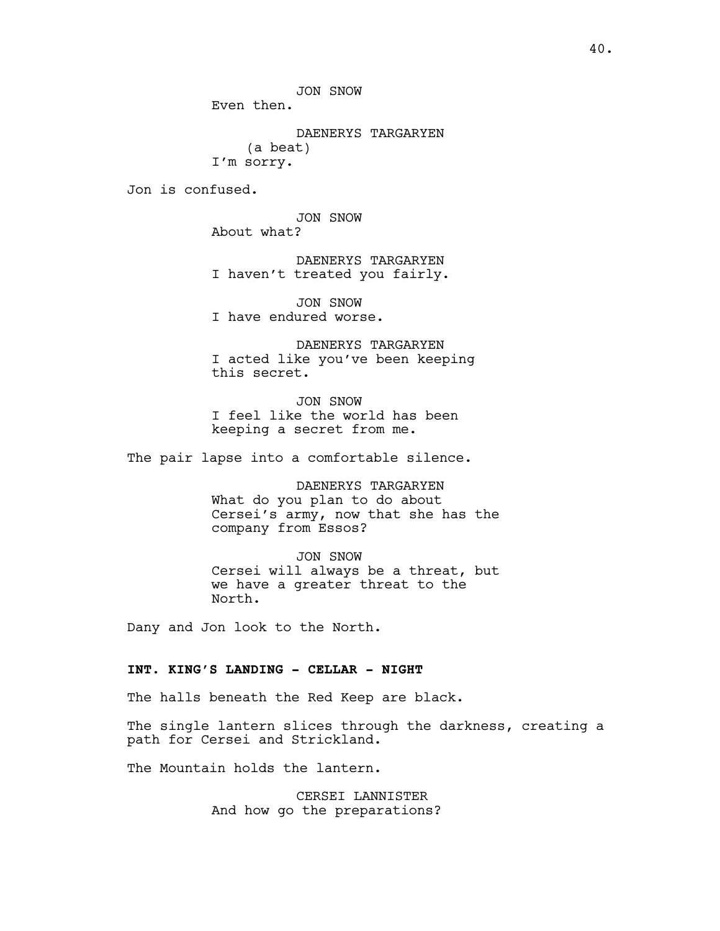JON SNOW

Even then.

DAENERYS TARGARYEN (a beat) I'm sorry.

Jon is confused.

JON SNOW About what?

DAENERYS TARGARYEN I haven't treated you fairly.

JON SNOW I have endured worse.

DAENERYS TARGARYEN I acted like you've been keeping this secret.

JON SNOW I feel like the world has been keeping a secret from me.

The pair lapse into a comfortable silence.

DAENERYS TARGARYEN What do you plan to do about Cersei's army, now that she has the company from Essos?

JON SNOW Cersei will always be a threat, but we have a greater threat to the North.

Dany and Jon look to the North.

# **INT. KING'S LANDING - CELLAR - NIGHT**

The halls beneath the Red Keep are black.

The single lantern slices through the darkness, creating a path for Cersei and Strickland.

The Mountain holds the lantern.

CERSEI LANNISTER And how go the preparations?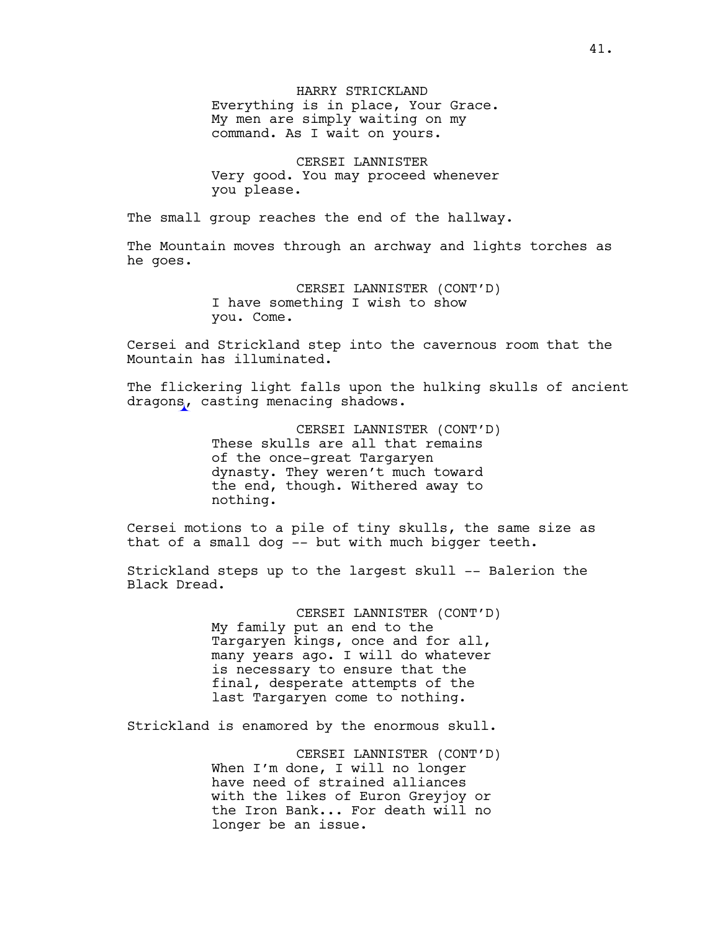HARRY STRICKLAND Everything is in place, Your Grace. My men are simply waiting on my command. As I wait on yours.

CERSEI LANNISTER Very good. You may proceed whenever you please.

The small group reaches the end of the hallway.

The Mountain moves through an archway and lights torches as he goes.

> CERSEI LANNISTER (CONT'D) I have something I wish to show you. Come.

Cersei and Strickland step into the cavernous room that the Mountain has illuminated.

The flickering light falls upon the hulking skulls of ancient dragons, casting menacing shadows.

> CERSEI LANNISTER (CONT'D) These skulls are all that remains of the once-great Targaryen dynasty. They weren't much toward the end, though. Withered away to nothing.

Cersei motions to a pile of tiny skulls, the same size as that of a small dog -- but with much bigger teeth.

Strickland steps up to the largest skull -- Balerion the Black Dread.

> CERSEI LANNISTER (CONT'D) My family put an end to the Targaryen kings, once and for all, many years ago. I will do whatever is necessary to ensure that the final, desperate attempts of the last Targaryen come to nothing.

Strickland is enamored by the enormous skull.

CERSEI LANNISTER (CONT'D) When I'm done, I will no longer have need of strained alliances with the likes of Euron Greyjoy or the Iron Bank... For death will no longer be an issue.